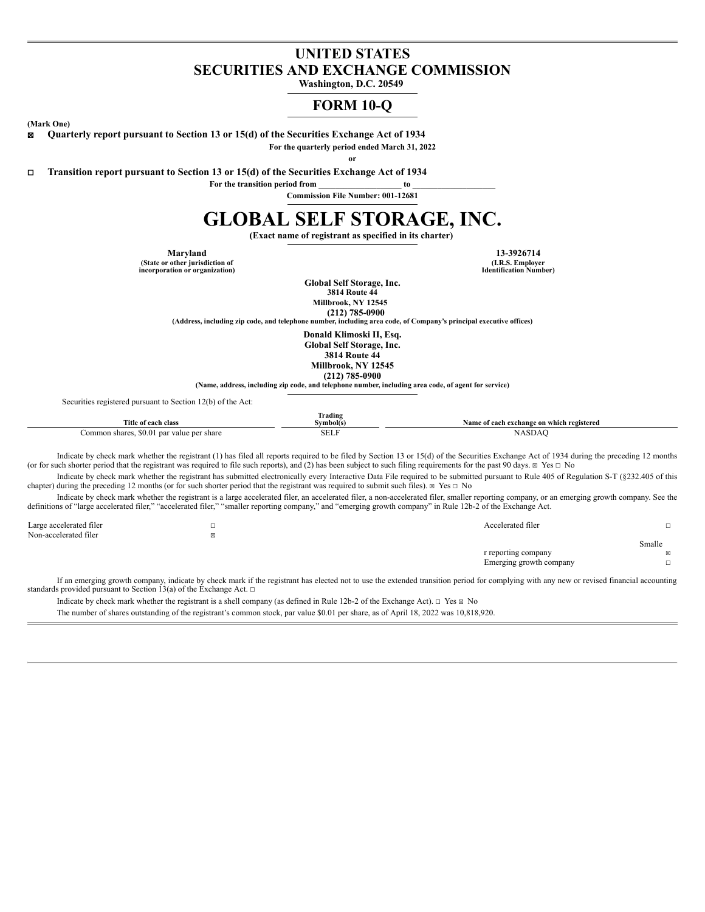# **UNITED STATES SECURITIES AND EXCHANGE COMMISSION**

**Washington, D.C. 20549**

# **FORM 10-Q**

**(Mark One)**

☒ **Quarterly report pursuant to Section 13 or 15(d) of the Securities Exchange Act of 1934 For the quarterly period ended March 31, 2022**

**or**

☐ **Transition report pursuant to Section 13 or 15(d) of the Securities Exchange Act of 1934**

For the transition period from

**Commission File Number: 001-12681**

# **GLOBAL SELF STORAGE, INC.**

**(Exact name of registrant as specified in its charter)**

**(State or other jurisdiction of incorporation or organization)**

**Maryland 13-3926714 (I.R.S. Employer Identification Number)**

**Global Self Storage, Inc. 3814 Route 44 Millbrook, NY 12545**

**(212) 785-0900**

**(Address, including zip code, and telephone number, including area code, of Company's principal executive offices)**

**Donald Klimoski II, Esq. Global Self Storage, Inc.**

**3814 Route 44 Millbrook, NY 12545 (212) 785-0900**

**(Name, address, including zip code, and telephone number, including area code, of agent for service)**

Securities registered pursuant to Section 12(b) of the Act:

| Title.<br>: of each class                                          | <b>CONTRACTOR</b><br>Trading<br>.<br>Symbol(s) | e on which registered<br>ı exchange<br>f each<br>ame |
|--------------------------------------------------------------------|------------------------------------------------|------------------------------------------------------|
| `ommon-<br>shares<br>' share<br>0.01<br>value per<br>par v.<br>. . | GITT<br><b>SELF</b>                            | JA<br>. .                                            |

Indicate by check mark whether the registrant (1) has filed all reports required to be filed by Section 13 or 15(d) of the Securities Exchange Act of 1934 during the preceding 12 months (or for such shorter period that the registrant was required to file such reports), and (2) has been subject to such filing requirements for the past 90 days.  $\boxtimes$  Yes  $\Box$  No

Indicate by check mark whether the registrant has submitted electronically every Interactive Data File required to be submitted pursuant to Rule 405 of Regulation S-T (§232.405 of this chapter) during the preceding 12 months (or for such shorter period that the registrant was required to submit such files).  $\boxtimes$  Yes  $\Box$  No

Indicate by check mark whether the registrant is a large accelerated filer, an accelerated filer, a non-accelerated filer, smaller reporting company, or an emerging growth company. See the definitions of "large accelerated filer," "accelerated filer," "smaller reporting company," and "emerging growth company" in Rule 12b-2 of the Exchange Act.

| Large accelerated filer<br>Non-accelerated filer | $\overline{\phantom{a}}$<br>⊠ | Accelerated filer       |        |
|--------------------------------------------------|-------------------------------|-------------------------|--------|
|                                                  |                               |                         | Smalle |
|                                                  |                               | r reporting company     | 図      |
|                                                  |                               | Emerging growth company |        |

If an emerging growth company, indicate by check mark if the registrant has elected not to use the extended transition period for complying with any new or revised financial accounting standards provided pursuant to Section 13(a) of the Exchange Act.  $□$ 

Indicate by check mark whether the registrant is a shell company (as defined in Rule 12b-2 of the Exchange Act). ☐ Yes ☒ No

The number of shares outstanding of the registrant's common stock, par value \$0.01 per share, as of April 18, 2022 was 10,818,920.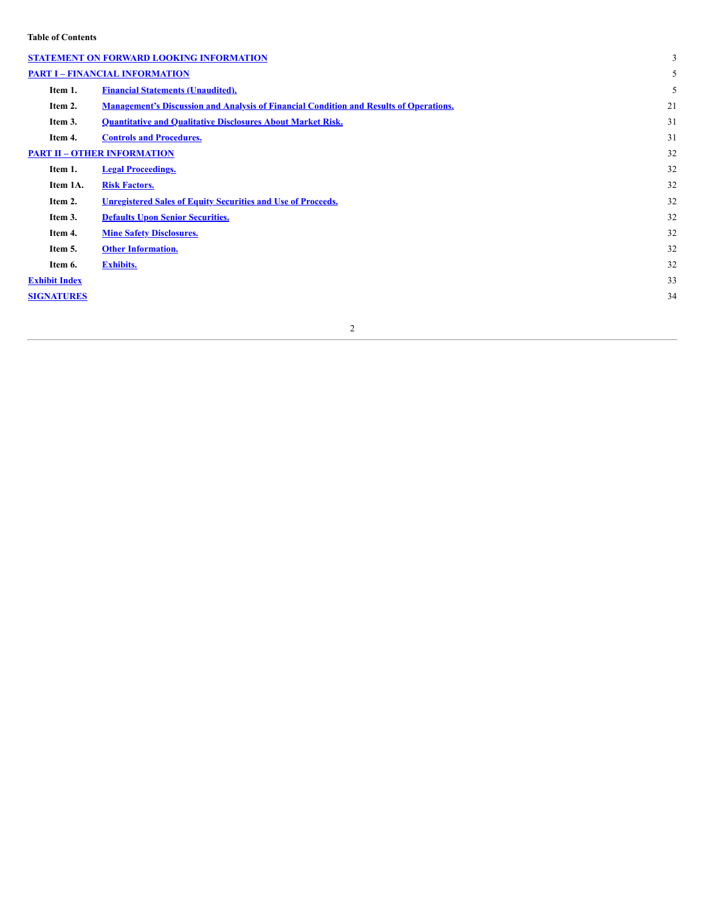# **Table of Contents**

|                      | <b>STATEMENT ON FORWARD LOOKING INFORMATION</b>                                               | 3  |
|----------------------|-----------------------------------------------------------------------------------------------|----|
|                      | <b>PART I - FINANCIAL INFORMATION</b>                                                         | 5  |
| Item 1.              | <b>Financial Statements (Unaudited).</b>                                                      | 5  |
| Item 2.              | <b>Management's Discussion and Analysis of Financial Condition and Results of Operations.</b> | 21 |
| Item 3.              | <b>Quantitative and Qualitative Disclosures About Market Risk.</b>                            | 31 |
| Item 4.              | <b>Controls and Procedures.</b>                                                               | 31 |
|                      | <b>PART II - OTHER INFORMATION</b>                                                            | 32 |
| Item 1.              | <b>Legal Proceedings.</b>                                                                     | 32 |
| Item 1A.             | <b>Risk Factors.</b>                                                                          | 32 |
| Item 2.              | <b>Unregistered Sales of Equity Securities and Use of Proceeds.</b>                           | 32 |
| Item 3.              | <b>Defaults Upon Senior Securities.</b>                                                       | 32 |
| Item 4.              | <b>Mine Safety Disclosures.</b>                                                               | 32 |
| Item 5.              | <b>Other Information.</b>                                                                     | 32 |
| Item 6.              | <b>Exhibits.</b>                                                                              | 32 |
| <b>Exhibit Index</b> |                                                                                               | 33 |
| <b>SIGNATURES</b>    |                                                                                               | 34 |
|                      |                                                                                               |    |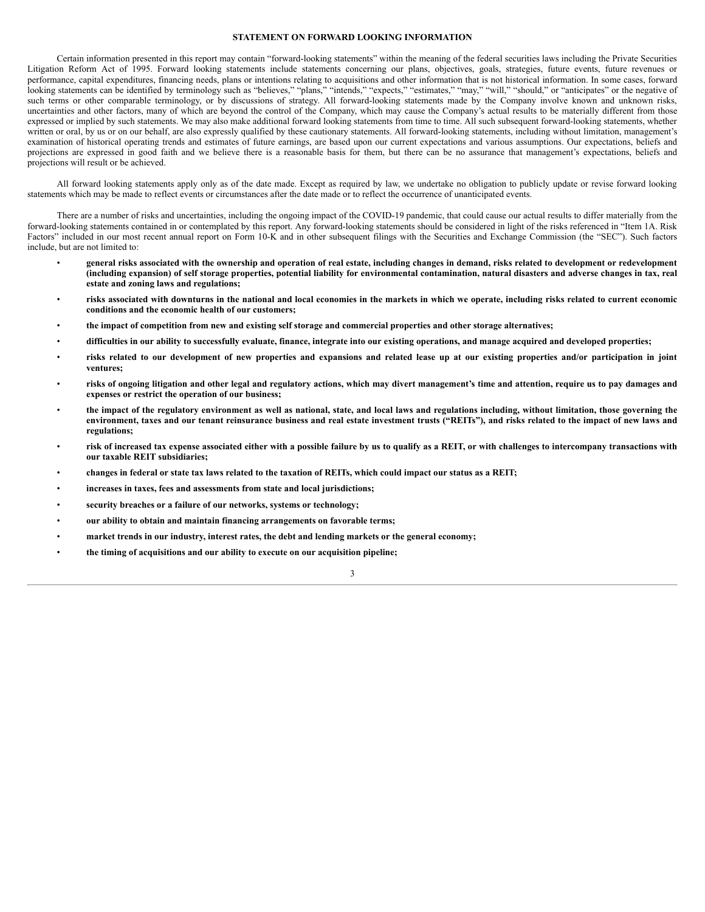# **STATEMENT ON FORWARD LOOKING INFORMATION**

<span id="page-2-0"></span>Certain information presented in this report may contain "forward-looking statements" within the meaning of the federal securities laws including the Private Securities Litigation Reform Act of 1995. Forward looking statements include statements concerning our plans, objectives, goals, strategies, future events, future revenues or performance, capital expenditures, financing needs, plans or intentions relating to acquisitions and other information that is not historical information. In some cases, forward looking statements can be identified by terminology such as "believes," "plans," "intends," "expects," "estimates," "may," "will," "should," or "anticipates" or the negative of such terms or other comparable terminology, or by discussions of strategy. All forward-looking statements made by the Company involve known and unknown risks, uncertainties and other factors, many of which are beyond the control of the Company, which may cause the Company's actual results to be materially different from those expressed or implied by such statements. We may also make additional forward looking statements from time to time. All such subsequent forward-looking statements, whether written or oral, by us or on our behalf, are also expressly qualified by these cautionary statements. All forward-looking statements, including without limitation, management's examination of historical operating trends and estimates of future earnings, are based upon our current expectations and various assumptions. Our expectations, beliefs and projections are expressed in good faith and we believe there is a reasonable basis for them, but there can be no assurance that management's expectations, beliefs and projections will result or be achieved.

All forward looking statements apply only as of the date made. Except as required by law, we undertake no obligation to publicly update or revise forward looking statements which may be made to reflect events or circumstances after the date made or to reflect the occurrence of unanticipated events.

There are a number of risks and uncertainties, including the ongoing impact of the COVID-19 pandemic, that could cause our actual results to differ materially from the forward-looking statements contained in or contemplated by this report. Any forward-looking statements should be considered in light of the risks referenced in "Item 1A. Risk Factors" included in our most recent annual report on Form 10-K and in other subsequent filings with the Securities and Exchange Commission (the "SEC"). Such factors include, but are not limited to:

- general risks associated with the ownership and operation of real estate, including changes in demand, risks related to development or redevelopment (including expansion) of self storage properties, potential liability for environmental contamination, natural disasters and adverse changes in tax, real **estate and zoning laws and regulations;**
- risks associated with downturns in the national and local economies in the markets in which we operate, including risks related to current economic **conditions and the economic health of our customers;**
- the impact of competition from new and existing self storage and commercial properties and other storage alternatives;
- difficulties in our ability to successfully evaluate, finance, integrate into our existing operations, and manage acquired and developed properties;
- risks related to our development of new properties and expansions and related lease up at our existing properties and/or participation in joint **ventures;**
- risks of ongoing litigation and other legal and regulatory actions, which may divert management's time and attention, require us to pay damages and **expenses or restrict the operation of our business;**
- the impact of the regulatory environment as well as national, state, and local laws and regulations including, without limitation, those governing the environment, taxes and our tenant reinsurance business and real estate investment trusts ("REITs"), and risks related to the impact of new laws and **regulations;**
- risk of increased tax expense associated either with a possible failure by us to qualify as a REIT, or with challenges to intercompany transactions with **our taxable REIT subsidiaries;**
- changes in federal or state tax laws related to the taxation of REITs, which could impact our status as a REIT;
- **increases in taxes, fees and assessments from state and local jurisdictions;**
- **security breaches or a failure of our networks, systems or technology;**
- **our ability to obtain and maintain financing arrangements on favorable terms;**
- **market trends in our industry, interest rates, the debt and lending markets or the general economy;**
- **the timing of acquisitions and our ability to execute on our acquisition pipeline;**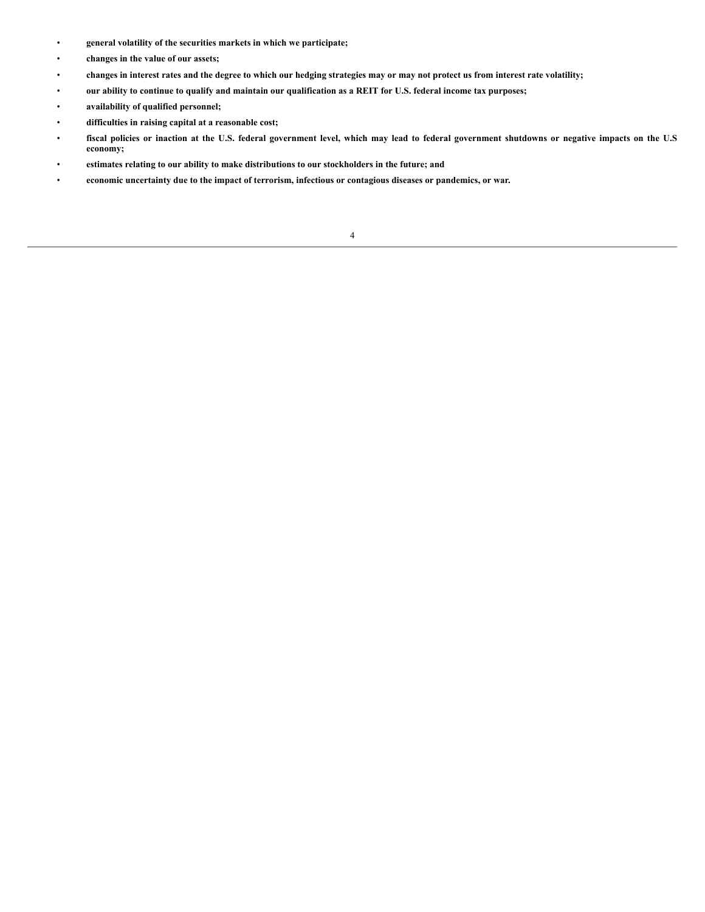- **general volatility of the securities markets in which we participate;**
- **changes in the value of our assets;**
- . changes in interest rates and the degree to which our hedging strategies may or may not protect us from interest rate volatility;
- our ability to continue to qualify and maintain our qualification as a REIT for U.S. federal income tax purposes;
- **availability of qualified personnel;**
- **difficulties in raising capital at a reasonable cost;**
- fiscal policies or inaction at the U.S. federal government level, which may lead to federal government shutdowns or negative impacts on the U.S **economy;**
- **estimates relating to our ability to make distributions to our stockholders in the future; and**
- **economic uncertainty due to the impact of terrorism, infectious or contagious diseases or pandemics, or war.**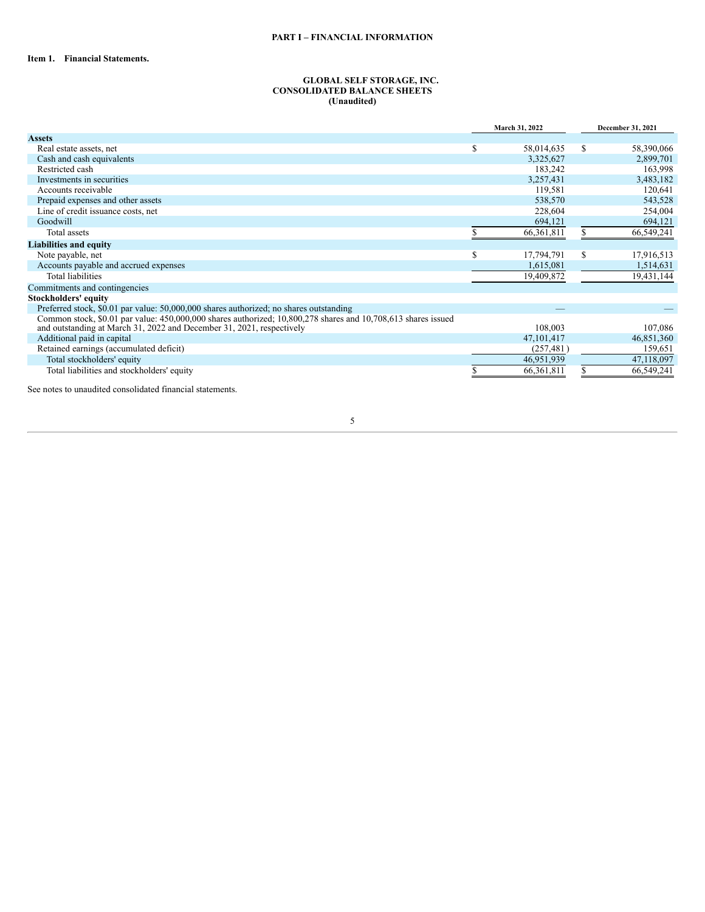### **GLOBAL SELF STORAGE, INC. CONSOLIDATED BALANCE SHEETS (Unaudited)**

<span id="page-4-1"></span><span id="page-4-0"></span>

|                                                                                                                                                                                        | March 31, 2022   |    | <b>December 31, 2021</b> |
|----------------------------------------------------------------------------------------------------------------------------------------------------------------------------------------|------------------|----|--------------------------|
| <b>Assets</b>                                                                                                                                                                          |                  |    |                          |
| Real estate assets, net                                                                                                                                                                | \$<br>58,014,635 | S  | 58,390,066               |
| Cash and cash equivalents                                                                                                                                                              | 3,325,627        |    | 2,899,701                |
| Restricted cash                                                                                                                                                                        | 183,242          |    | 163,998                  |
| Investments in securities                                                                                                                                                              | 3,257,431        |    | 3,483,182                |
| Accounts receivable                                                                                                                                                                    | 119,581          |    | 120,641                  |
| Prepaid expenses and other assets                                                                                                                                                      | 538,570          |    | 543,528                  |
| Line of credit issuance costs, net                                                                                                                                                     | 228,604          |    | 254,004                  |
| Goodwill                                                                                                                                                                               | 694,121          |    | 694,121                  |
| Total assets                                                                                                                                                                           | 66, 361, 811     |    | 66,549,241               |
| <b>Liabilities and equity</b>                                                                                                                                                          |                  |    |                          |
| Note payable, net                                                                                                                                                                      | \$<br>17,794,791 | \$ | 17,916,513               |
| Accounts payable and accrued expenses                                                                                                                                                  | 1,615,081        |    | 1,514,631                |
| Total liabilities                                                                                                                                                                      | 19,409,872       |    | 19,431,144               |
| Commitments and contingencies                                                                                                                                                          |                  |    |                          |
| Stockholders' equity                                                                                                                                                                   |                  |    |                          |
| Preferred stock, \$0.01 par value: 50,000,000 shares authorized; no shares outstanding                                                                                                 |                  |    |                          |
| Common stock, \$0.01 par value: 450,000,000 shares authorized; 10,800,278 shares and 10,708,613 shares issued<br>and outstanding at March 31, 2022 and December 31, 2021, respectively | 108,003          |    | 107,086                  |
| Additional paid in capital                                                                                                                                                             | 47, 101, 417     |    | 46,851,360               |
| Retained earnings (accumulated deficit)                                                                                                                                                | (257, 481)       |    | 159,651                  |
| Total stockholders' equity                                                                                                                                                             | 46,951,939       |    | 47,118,097               |
| Total liabilities and stockholders' equity                                                                                                                                             | 66, 361, 811     |    | 66,549,241               |
|                                                                                                                                                                                        |                  |    |                          |

See notes to unaudited consolidated financial statements.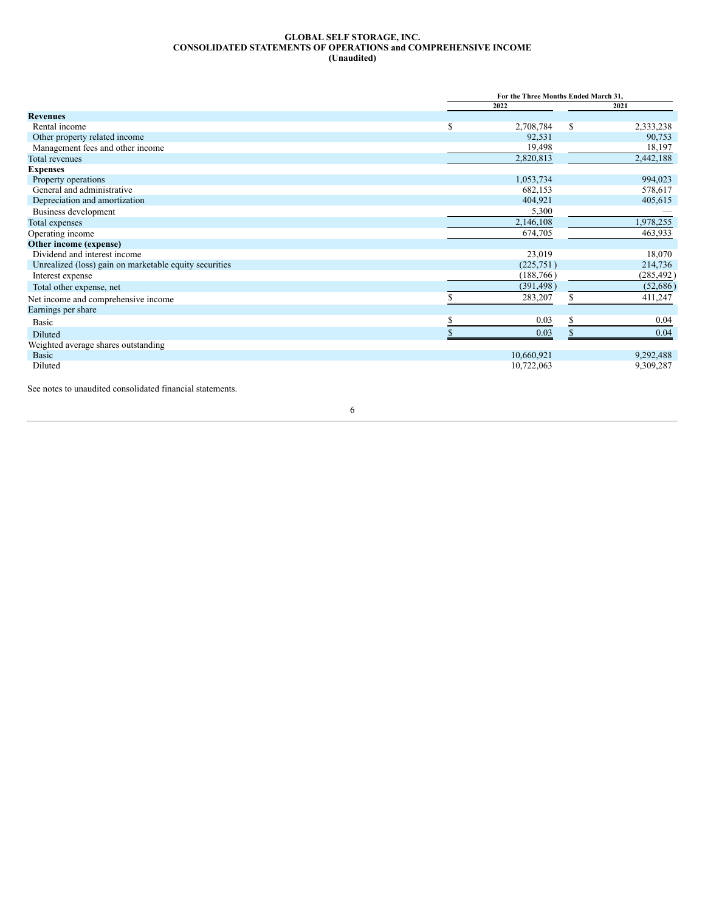# **GLOBAL SELF STORAGE, INC. CONSOLIDATED STATEMENTS OF OPERATIONS and COMPREHENSIVE INCOME (Unaudited)**

|                                                        |                | For the Three Months Ended March 31, |            |  |  |  |
|--------------------------------------------------------|----------------|--------------------------------------|------------|--|--|--|
|                                                        | 2022           |                                      | 2021       |  |  |  |
| <b>Revenues</b>                                        |                |                                      |            |  |  |  |
| Rental income                                          | S<br>2,708,784 | \$                                   | 2,333,238  |  |  |  |
| Other property related income                          | 92,531         |                                      | 90,753     |  |  |  |
| Management fees and other income                       | 19,498         |                                      | 18,197     |  |  |  |
| <b>Total revenues</b>                                  | 2,820,813      |                                      | 2,442,188  |  |  |  |
| <b>Expenses</b>                                        |                |                                      |            |  |  |  |
| Property operations                                    | 1,053,734      |                                      | 994,023    |  |  |  |
| General and administrative                             | 682,153        |                                      | 578,617    |  |  |  |
| Depreciation and amortization                          | 404,921        |                                      | 405,615    |  |  |  |
| Business development                                   | 5,300          |                                      |            |  |  |  |
| Total expenses                                         | 2,146,108      |                                      | 1,978,255  |  |  |  |
| Operating income                                       | 674,705        |                                      | 463,933    |  |  |  |
| Other income (expense)                                 |                |                                      |            |  |  |  |
| Dividend and interest income                           | 23,019         |                                      | 18,070     |  |  |  |
| Unrealized (loss) gain on marketable equity securities | (225, 751)     |                                      | 214,736    |  |  |  |
| Interest expense                                       | (188, 766)     |                                      | (285, 492) |  |  |  |
| Total other expense, net                               | (391, 498)     |                                      | (52, 686)  |  |  |  |
| Net income and comprehensive income                    | 283,207        |                                      | 411,247    |  |  |  |
| Earnings per share                                     |                |                                      |            |  |  |  |
| Basic                                                  |                | 0.03                                 | 0.04       |  |  |  |
| Diluted                                                |                | 0.03                                 | 0.04       |  |  |  |
| Weighted average shares outstanding                    |                |                                      |            |  |  |  |
| Basic                                                  | 10,660,921     |                                      | 9,292,488  |  |  |  |
| Diluted                                                | 10,722,063     |                                      | 9,309,287  |  |  |  |
|                                                        |                |                                      |            |  |  |  |

See notes to unaudited consolidated financial statements.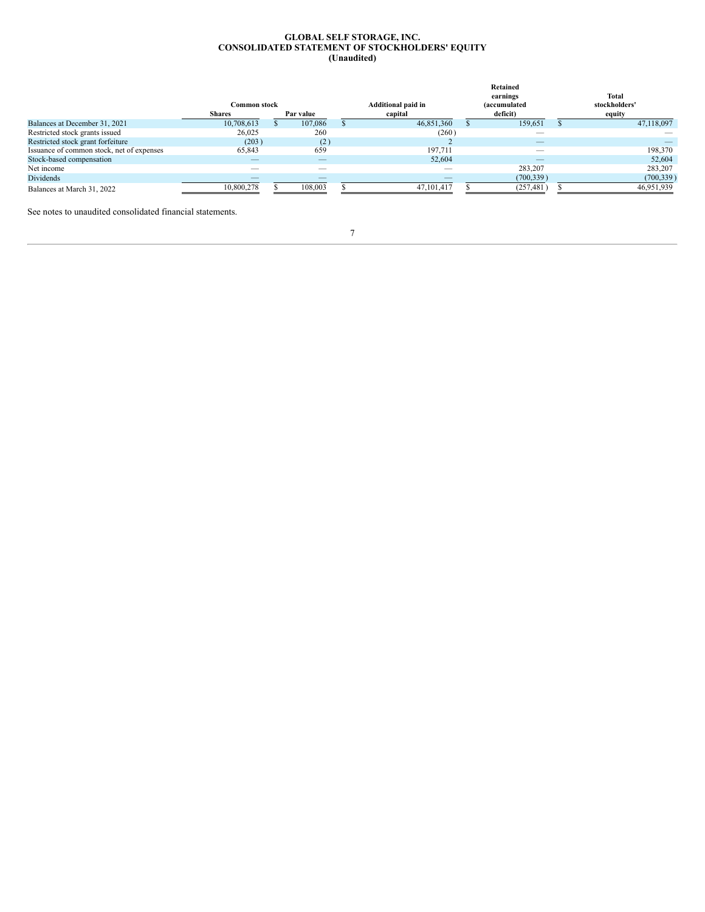# **GLOBAL SELF STORAGE, INC. CONSOLIDATED STATEMENT OF STOCKHOLDERS' EQUITY (Unaudited)**

|                                           |               |           |                           | <b>Retained</b><br>earnings | Total         |
|-------------------------------------------|---------------|-----------|---------------------------|-----------------------------|---------------|
|                                           | Common stock  |           | <b>Additional paid in</b> | (accumulated                | stockholders' |
|                                           | <b>Shares</b> | Par value | capital                   | deficit)                    | equity        |
| Balances at December 31, 2021             | 10,708,613    | 107,086   | 46,851,360                | 159,651                     | 47,118,097    |
| Restricted stock grants issued            | 26,025        | 260       | (260)                     |                             |               |
| Restricted stock grant forfeiture         | (203)         | (2)       |                           |                             |               |
| Issuance of common stock, net of expenses | 65,843        | 659       | 197,711                   |                             | 198,370       |
| Stock-based compensation                  |               |           | 52.604                    |                             | 52,604        |
| Net income                                |               |           | $\sim$                    | 283.207                     | 283,207       |
| <b>Dividends</b>                          |               |           |                           | (700, 339)                  | (700, 339)    |
| Balances at March 31, 2022                | 10.800.278    | 108.003   | 47.101.417                | (257, 481)                  | 46,951,939    |

See notes to unaudited consolidated financial statements.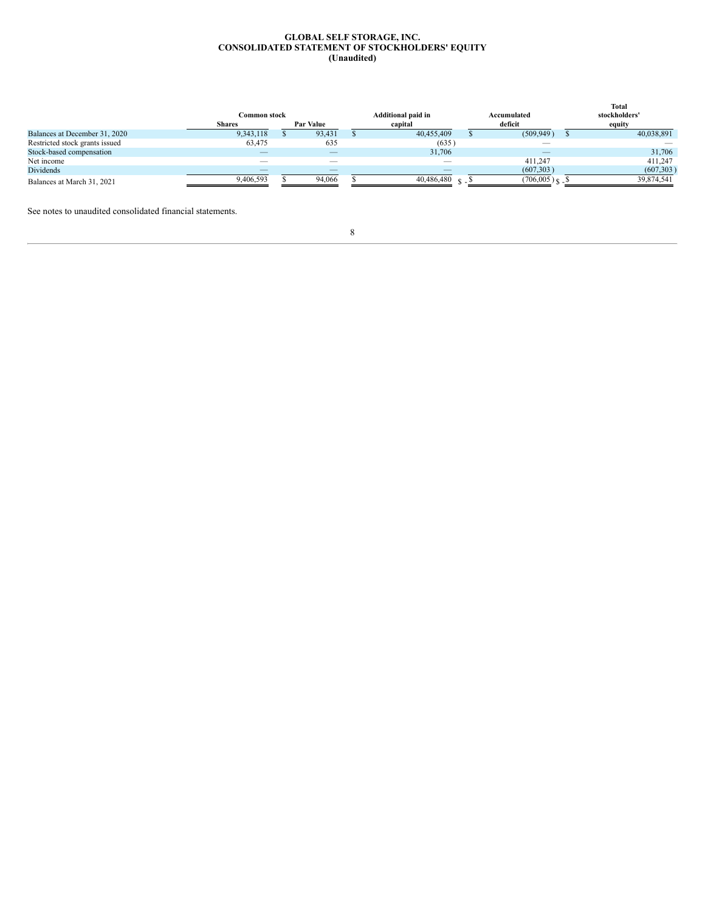# **GLOBAL SELF STORAGE, INC. CONSOLIDATED STATEMENT OF STOCKHOLDERS' EQUITY (Unaudited)**

|                                |               |  |                  |  |                           |         |                             | <b>Total</b>  |
|--------------------------------|---------------|--|------------------|--|---------------------------|---------|-----------------------------|---------------|
|                                | Common stock  |  |                  |  | <b>Additional paid in</b> |         | Accumulated                 | stockholders' |
|                                | <b>Shares</b> |  | <b>Par Value</b> |  | capital                   | deficit | equity                      |               |
| Balances at December 31, 2020  | 9,343,118     |  | 93,431           |  | 40,455,409                |         | (509, 949)                  | 40,038,891    |
| Restricted stock grants issued | 63,475        |  | 635              |  | (635)                     |         |                             |               |
| Stock-based compensation       |               |  |                  |  | 31,706                    |         |                             | 31,706        |
| Net income                     | –             |  | –                |  | $\overline{\phantom{m}}$  |         | 411.247                     | 411.247       |
| <b>Dividends</b>               |               |  |                  |  |                           |         | (607,303)                   | (607,303)     |
| Balances at March 31, 2021     | 9,406,593     |  | 94,066           |  | 40.486.480                |         | $(706,005)$ s $\frac{1}{2}$ | 39,874,541    |

See notes to unaudited consolidated financial statements.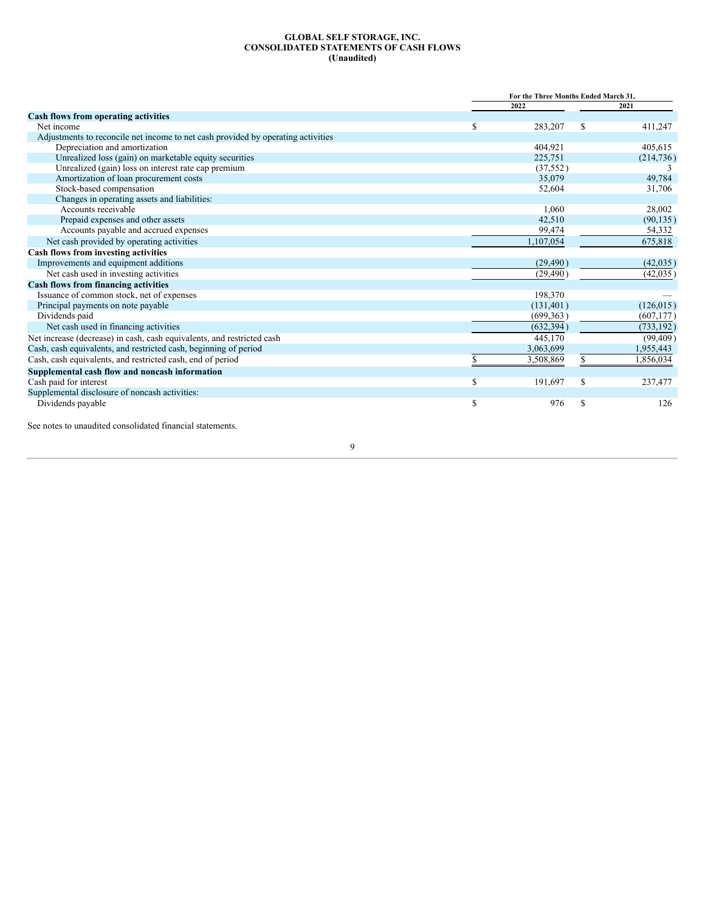# **GLOBAL SELF STORAGE, INC. CONSOLIDATED STATEMENTS OF CASH FLOWS (Unaudited)**

|                                                                                  |               | For the Three Months Ended March 31. |   |            |
|----------------------------------------------------------------------------------|---------------|--------------------------------------|---|------------|
|                                                                                  |               | 2022                                 |   | 2021       |
| Cash flows from operating activities                                             |               |                                      |   |            |
| Net income                                                                       | \$            | 283,207                              | S | 411,247    |
| Adjustments to reconcile net income to net cash provided by operating activities |               |                                      |   |            |
| Depreciation and amortization                                                    |               | 404,921                              |   | 405,615    |
| Unrealized loss (gain) on marketable equity securities                           |               | 225,751                              |   | (214, 736) |
| Unrealized (gain) loss on interest rate cap premium                              |               | (37, 552)                            |   |            |
| Amortization of loan procurement costs                                           |               | 35,079                               |   | 49,784     |
| Stock-based compensation                                                         |               | 52,604                               |   | 31,706     |
| Changes in operating assets and liabilities:                                     |               |                                      |   |            |
| Accounts receivable                                                              |               | 1,060                                |   | 28,002     |
| Prepaid expenses and other assets                                                |               | 42,510                               |   | (90, 135)  |
| Accounts payable and accrued expenses                                            |               | 99,474                               |   | 54,332     |
| Net cash provided by operating activities                                        |               | 1,107,054                            |   | 675,818    |
| Cash flows from investing activities                                             |               |                                      |   |            |
| Improvements and equipment additions                                             |               | (29, 490)                            |   | (42, 035)  |
| Net cash used in investing activities                                            |               | (29, 490)                            |   | (42, 035)  |
| <b>Cash flows from financing activities</b>                                      |               |                                      |   |            |
| Issuance of common stock, net of expenses                                        |               | 198,370                              |   |            |
| Principal payments on note payable                                               |               | (131, 401)                           |   | (126, 015) |
| Dividends paid                                                                   |               | (699, 363)                           |   | (607, 177) |
| Net cash used in financing activities                                            |               | (632, 394)                           |   | (733, 192) |
| Net increase (decrease) in cash, cash equivalents, and restricted cash           |               | 445,170                              |   | (99, 409)  |
| Cash, cash equivalents, and restricted cash, beginning of period                 |               | 3,063,699                            |   | 1,955,443  |
| Cash, cash equivalents, and restricted cash, end of period                       |               | 3,508,869                            |   | ,856,034   |
| Supplemental cash flow and noncash information                                   |               |                                      |   |            |
| Cash paid for interest                                                           | \$            | 191,697                              | S | 237,477    |
| Supplemental disclosure of noncash activities:                                   |               |                                      |   |            |
| Dividends payable                                                                | <sup>\$</sup> | 976                                  |   | 126        |

See notes to unaudited consolidated financial statements.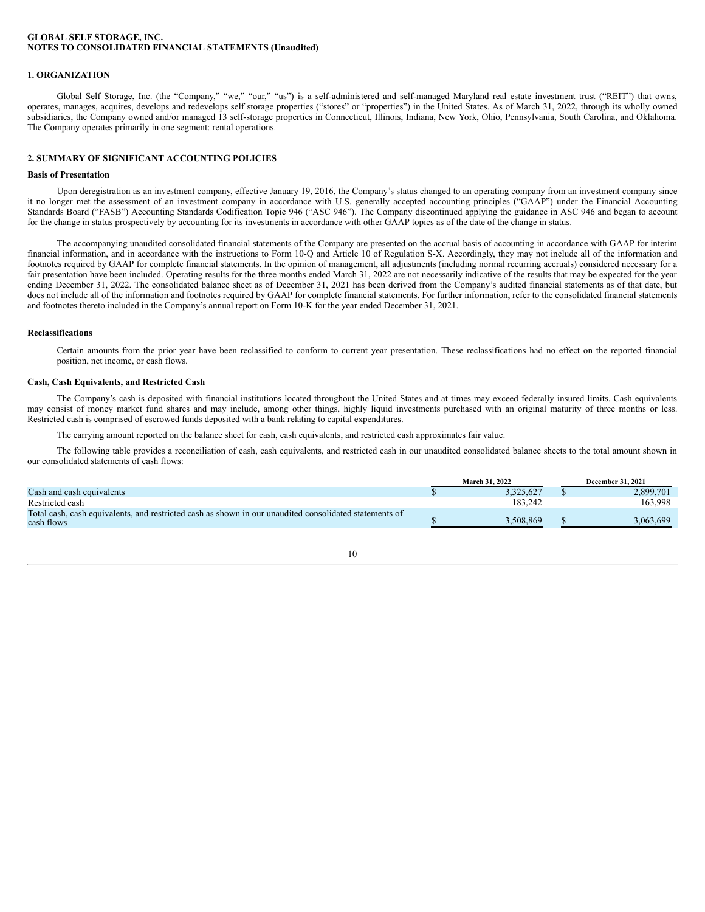# **GLOBAL SELF STORAGE, INC. NOTES TO CONSOLIDATED FINANCIAL STATEMENTS (Unaudited)**

# **1. ORGANIZATION**

Global Self Storage, Inc. (the "Company," "we," "our," "us") is a self-administered and self-managed Maryland real estate investment trust ("REIT") that owns, operates, manages, acquires, develops and redevelops self storage properties ("stores" or "properties") in the United States. As of March 31, 2022, through its wholly owned subsidiaries, the Company owned and/or managed 13 self-storage properties in Connecticut, Illinois, Indiana, New York, Ohio, Pennsylvania, South Carolina, and Oklahoma. The Company operates primarily in one segment: rental operations.

# **2. SUMMARY OF SIGNIFICANT ACCOUNTING POLICIES**

#### **Basis of Presentation**

Upon deregistration as an investment company, effective January 19, 2016, the Company's status changed to an operating company from an investment company since it no longer met the assessment of an investment company in accordance with U.S. generally accepted accounting principles ("GAAP") under the Financial Accounting Standards Board ("FASB") Accounting Standards Codification Topic 946 ("ASC 946"). The Company discontinued applying the guidance in ASC 946 and began to account for the change in status prospectively by accounting for its investments in accordance with other GAAP topics as of the date of the change in status.

The accompanying unaudited consolidated financial statements of the Company are presented on the accrual basis of accounting in accordance with GAAP for interim financial information, and in accordance with the instructions to Form 10-Q and Article 10 of Regulation S-X. Accordingly, they may not include all of the information and footnotes required by GAAP for complete financial statements. In the opinion of management, all adjustments (including normal recurring accruals) considered necessary for a fair presentation have been included. Operating results for the three months ended March 31, 2022 are not necessarily indicative of the results that may be expected for the year ending December 31, 2022. The consolidated balance sheet as of December 31, 2021 has been derived from the Company's audited financial statements as of that date, but does not include all of the information and footnotes required by GAAP for complete financial statements. For further information, refer to the consolidated financial statements and footnotes thereto included in the Company's annual report on Form 10-K for the year ended December 31, 2021.

#### **Reclassifications**

Certain amounts from the prior year have been reclassified to conform to current year presentation. These reclassifications had no effect on the reported financial position, net income, or cash flows.

#### **Cash, Cash Equivalents, and Restricted Cash**

The Company's cash is deposited with financial institutions located throughout the United States and at times may exceed federally insured limits. Cash equivalents may consist of money market fund shares and may include, among other things, highly liquid investments purchased with an original maturity of three months or less. Restricted cash is comprised of escrowed funds deposited with a bank relating to capital expenditures.

The carrying amount reported on the balance sheet for cash, cash equivalents, and restricted cash approximates fair value.

The following table provides a reconciliation of cash, cash equivalents, and restricted cash in our unaudited consolidated balance sheets to the total amount shown in our consolidated statements of cash flows:

|                                                                                                                      | March 31, 2022 | <b>December 31, 2021</b> |
|----------------------------------------------------------------------------------------------------------------------|----------------|--------------------------|
| Cash and cash equivalents                                                                                            | 3.325.627      | 2,899,701                |
| Restricted cash                                                                                                      | 183.242        | 163.998                  |
| Total cash, cash equivalents, and restricted cash as shown in our unaudited consolidated statements of<br>cash flows | 3.508.869      | 3,063,699                |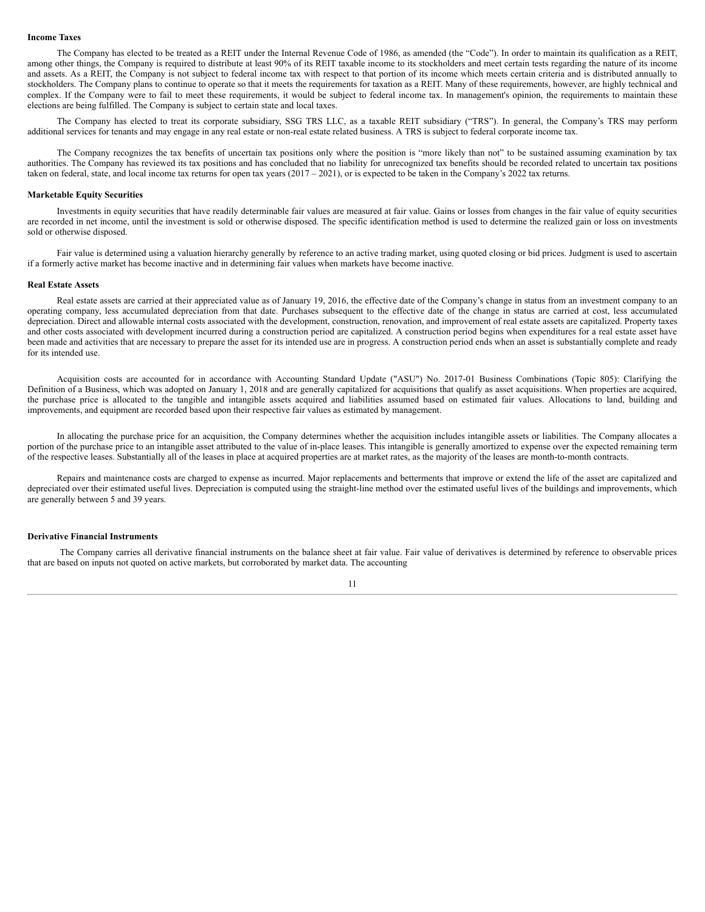#### **Income Taxes**

The Company has elected to be treated as a REIT under the Internal Revenue Code of 1986, as amended (the "Code"). In order to maintain its qualification as a REIT, among other things, the Company is required to distribute at least 90% of its REIT taxable income to its stockholders and meet certain tests regarding the nature of its income and assets. As a REIT, the Company is not subject to federal income tax with respect to that portion of its income which meets certain criteria and is distributed annually to stockholders. The Company plans to continue to operate so that it meets the requirements for taxation as a REIT. Many of these requirements, however, are highly technical and complex. If the Company were to fail to meet these requirements, it would be subject to federal income tax. In management's opinion, the requirements to maintain these elections are being fulfilled. The Company is subject to certain state and local taxes.

The Company has elected to treat its corporate subsidiary, SSG TRS LLC, as a taxable REIT subsidiary ("TRS"). In general, the Company's TRS may perform additional services for tenants and may engage in any real estate or non-real estate related business. A TRS is subject to federal corporate income tax.

The Company recognizes the tax benefits of uncertain tax positions only where the position is "more likely than not" to be sustained assuming examination by tax authorities. The Company has reviewed its tax positions and has concluded that no liability for unrecognized tax benefits should be recorded related to uncertain tax positions taken on federal, state, and local income tax returns for open tax years  $(2017 - 2021)$ , or is expected to be taken in the Company's 2022 tax returns.

# **Marketable Equity Securities**

Investments in equity securities that have readily determinable fair values are measured at fair value. Gains or losses from changes in the fair value of equity securities are recorded in net income, until the investment is sold or otherwise disposed. The specific identification method is used to determine the realized gain or loss on investments sold or otherwise disposed.

Fair value is determined using a valuation hierarchy generally by reference to an active trading market, using quoted closing or bid prices. Judgment is used to ascertain if a formerly active market has become inactive and in determining fair values when markets have become inactive.

#### **Real Estate Assets**

Real estate assets are carried at their appreciated value as of January 19, 2016, the effective date of the Company's change in status from an investment company to an operating company, less accumulated depreciation from that date. Purchases subsequent to the effective date of the change in status are carried at cost, less accumulated depreciation. Direct and allowable internal costs associated with the development, construction, renovation, and improvement of real estate assets are capitalized. Property taxes and other costs associated with development incurred during a construction period are capitalized. A construction period begins when expenditures for a real estate asset have been made and activities that are necessary to prepare the asset for its intended use are in progress. A construction period ends when an asset is substantially complete and ready for its intended use.

Acquisition costs are accounted for in accordance with Accounting Standard Update ("ASU") No. 2017-01 Business Combinations (Topic 805): Clarifying the Definition of a Business, which was adopted on January 1, 2018 and are generally capitalized for acquisitions that qualify as asset acquisitions. When properties are acquired, the purchase price is allocated to the tangible and intangible assets acquired and liabilities assumed based on estimated fair values. Allocations to land, building and improvements, and equipment are recorded based upon their respective fair values as estimated by management.

In allocating the purchase price for an acquisition, the Company determines whether the acquisition includes intangible assets or liabilities. The Company allocates a portion of the purchase price to an intangible asset attributed to the value of in-place leases. This intangible is generally amortized to expense over the expected remaining term of the respective leases. Substantially all of the leases in place at acquired properties are at market rates, as the majority of the leases are month-to-month contracts.

Repairs and maintenance costs are charged to expense as incurred. Major replacements and betterments that improve or extend the life of the asset are capitalized and depreciated over their estimated useful lives. Depreciation is computed using the straight-line method over the estimated useful lives of the buildings and improvements, which are generally between 5 and 39 years.

### **Derivative Financial Instruments**

The Company carries all derivative financial instruments on the balance sheet at fair value. Fair value of derivatives is determined by reference to observable prices that are based on inputs not quoted on active markets, but corroborated by market data. The accounting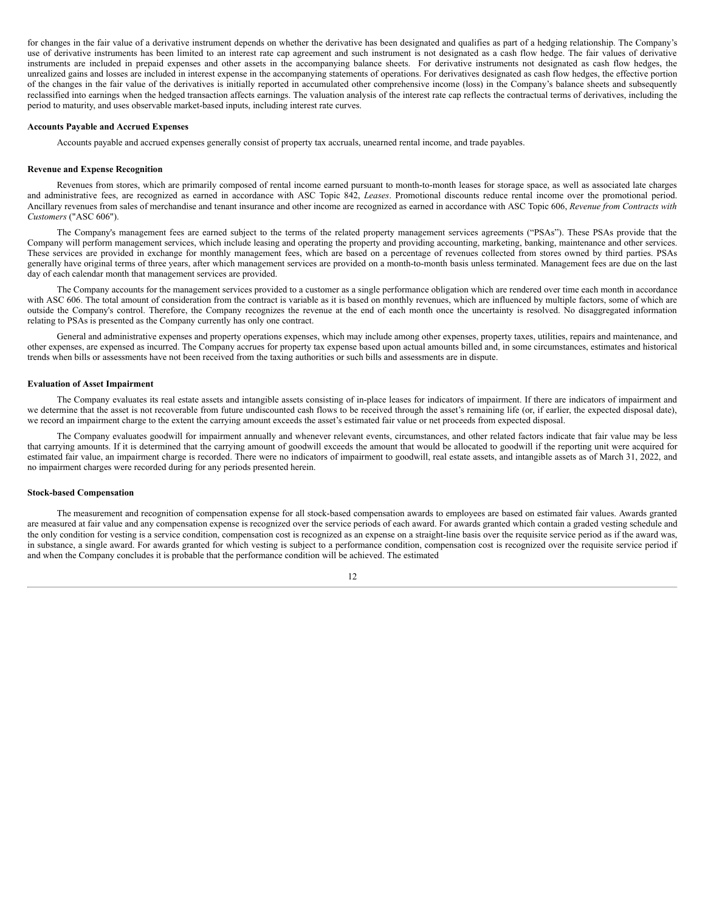for changes in the fair value of a derivative instrument depends on whether the derivative has been designated and qualifies as part of a hedging relationship. The Company's use of derivative instruments has been limited to an interest rate cap agreement and such instrument is not designated as a cash flow hedge. The fair values of derivative instruments are included in prepaid expenses and other assets in the accompanying balance sheets. For derivative instruments not designated as cash flow hedges, the unrealized gains and losses are included in interest expense in the accompanying statements of operations. For derivatives designated as cash flow hedges, the effective portion of the changes in the fair value of the derivatives is initially reported in accumulated other comprehensive income (loss) in the Company's balance sheets and subsequently reclassified into earnings when the hedged transaction affects earnings. The valuation analysis of the interest rate cap reflects the contractual terms of derivatives, including the period to maturity, and uses observable market-based inputs, including interest rate curves.

#### **Accounts Payable and Accrued Expenses**

Accounts payable and accrued expenses generally consist of property tax accruals, unearned rental income, and trade payables.

### **Revenue and Expense Recognition**

Revenues from stores, which are primarily composed of rental income earned pursuant to month-to-month leases for storage space, as well as associated late charges and administrative fees, are recognized as earned in accordance with ASC Topic 842, *Leases*. Promotional discounts reduce rental income over the promotional period. Ancillary revenues from sales of merchandise and tenant insurance and other income are recognized as earned in accordance with ASC Topic 606, *Revenue from Contracts with Customers* ("ASC 606").

The Company's management fees are earned subject to the terms of the related property management services agreements ("PSAs"). These PSAs provide that the Company will perform management services, which include leasing and operating the property and providing accounting, marketing, banking, maintenance and other services. These services are provided in exchange for monthly management fees, which are based on a percentage of revenues collected from stores owned by third parties. PSAs generally have original terms of three years, after which management services are provided on a month-to-month basis unless terminated. Management fees are due on the last day of each calendar month that management services are provided.

The Company accounts for the management services provided to a customer as a single performance obligation which are rendered over time each month in accordance with ASC 606. The total amount of consideration from the contract is variable as it is based on monthly revenues, which are influenced by multiple factors, some of which are outside the Company's control. Therefore, the Company recognizes the revenue at the end of each month once the uncertainty is resolved. No disaggregated information relating to PSAs is presented as the Company currently has only one contract.

General and administrative expenses and property operations expenses, which may include among other expenses, property taxes, utilities, repairs and maintenance, and other expenses, are expensed as incurred. The Company accrues for property tax expense based upon actual amounts billed and, in some circumstances, estimates and historical trends when bills or assessments have not been received from the taxing authorities or such bills and assessments are in dispute.

### **Evaluation of Asset Impairment**

The Company evaluates its real estate assets and intangible assets consisting of in-place leases for indicators of impairment. If there are indicators of impairment and we determine that the asset is not recoverable from future undiscounted cash flows to be received through the asset's remaining life (or, if earlier, the expected disposal date), we record an impairment charge to the extent the carrying amount exceeds the asset's estimated fair value or net proceeds from expected disposal.

The Company evaluates goodwill for impairment annually and whenever relevant events, circumstances, and other related factors indicate that fair value may be less that carrying amounts. If it is determined that the carrying amount of goodwill exceeds the amount that would be allocated to goodwill if the reporting unit were acquired for estimated fair value, an impairment charge is recorded. There were no indicators of impairment to goodwill, real estate assets, and intangible assets as of March 31, 2022, and no impairment charges were recorded during for any periods presented herein.

# **Stock-based Compensation**

The measurement and recognition of compensation expense for all stock-based compensation awards to employees are based on estimated fair values. Awards granted are measured at fair value and any compensation expense is recognized over the service periods of each award. For awards granted which contain a graded vesting schedule and the only condition for vesting is a service condition, compensation cost is recognized as an expense on a straight-line basis over the requisite service period as if the award was, in substance, a single award. For awards granted for which vesting is subject to a performance condition, compensation cost is recognized over the requisite service period if and when the Company concludes it is probable that the performance condition will be achieved. The estimated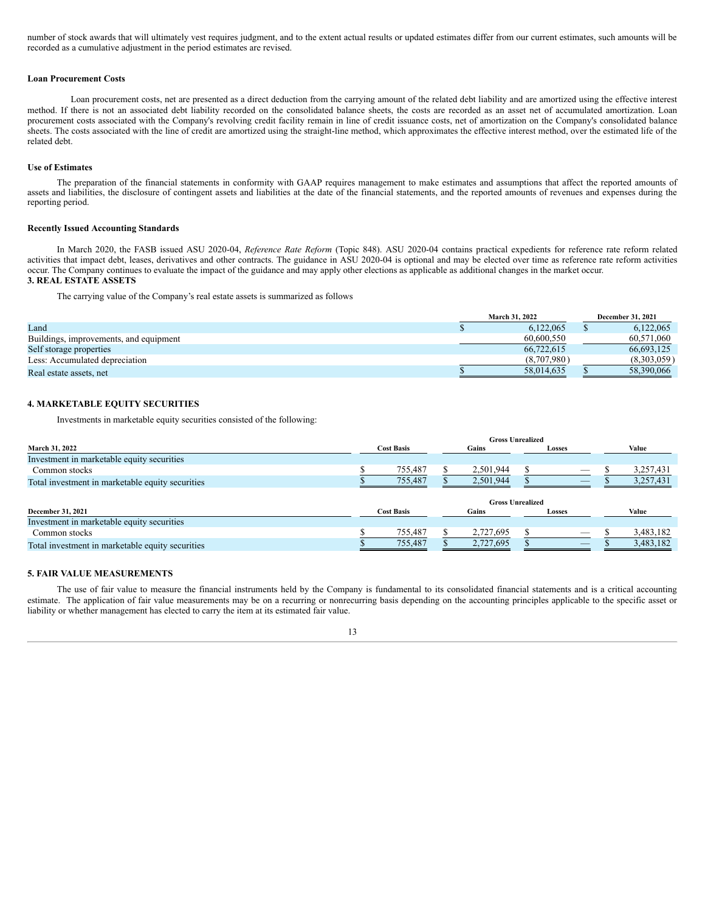number of stock awards that will ultimately vest requires judgment, and to the extent actual results or updated estimates differ from our current estimates, such amounts will be recorded as a cumulative adjustment in the period estimates are revised.

# **Loan Procurement Costs**

Loan procurement costs, net are presented as a direct deduction from the carrying amount of the related debt liability and are amortized using the effective interest method. If there is not an associated debt liability recorded on the consolidated balance sheets, the costs are recorded as an asset net of accumulated amortization. Loan procurement costs associated with the Company's revolving credit facility remain in line of credit issuance costs, net of amortization on the Company's consolidated balance sheets. The costs associated with the line of credit are amortized using the straight-line method, which approximates the effective interest method, over the estimated life of the related debt.

#### **Use of Estimates**

The preparation of the financial statements in conformity with GAAP requires management to make estimates and assumptions that affect the reported amounts of assets and liabilities, the disclosure of contingent assets and liabilities at the date of the financial statements, and the reported amounts of revenues and expenses during the reporting period.

# **Recently Issued Accounting Standards**

In March 2020, the FASB issued ASU 2020-04, *Reference Rate Reform* (Topic 848). ASU 2020-04 contains practical expedients for reference rate reform related activities that impact debt, leases, derivatives and other contracts. The guidance in ASU 2020-04 is optional and may be elected over time as reference rate reform activities occur. The Company continues to evaluate the impact of the guidance and may apply other elections as applicable as additional changes in the market occur. **3. REAL ESTATE ASSETS**

The carrying value of the Company's real estate assets is summarized as follows

|                                        | <b>March 31, 2022</b> | <b>December 31, 2021</b> |
|----------------------------------------|-----------------------|--------------------------|
| Land                                   | 6.122.065             | 6.122.065                |
| Buildings, improvements, and equipment | 60.600.550            | 60.571.060               |
| Self storage properties                | 66,722,615            | 66,693,125               |
| Less: Accumulated depreciation         | (8,707,980)           | (8,303,059)              |
| Real estate assets, net                | 58.014.635            | 58.390.066               |

# **4. MARKETABLE EQUITY SECURITIES**

Investments in marketable equity securities consisted of the following:

|                                                  | <b>Gross Unrealized</b> |  |                         |  |               |  |           |  |
|--------------------------------------------------|-------------------------|--|-------------------------|--|---------------|--|-----------|--|
| March 31, 2022                                   | <b>Cost Basis</b>       |  | Gains                   |  | <b>Losses</b> |  | Value     |  |
| Investment in marketable equity securities       |                         |  |                         |  |               |  |           |  |
| Common stocks                                    | 755,487                 |  | 2,501,944               |  | _             |  | 3,257,431 |  |
| Total investment in marketable equity securities | 755,487                 |  | 2,501,944               |  | —             |  | 3,257,431 |  |
|                                                  |                         |  |                         |  |               |  |           |  |
|                                                  |                         |  | <b>Gross Unrealized</b> |  |               |  |           |  |
| December 31, 2021                                | <b>Cost Basis</b>       |  | Gains                   |  | Losses        |  | Value     |  |
| Investment in marketable equity securities       |                         |  |                         |  |               |  |           |  |
| Common stocks                                    | 755,487                 |  | 2,727,695               |  |               |  | 3,483,182 |  |

# **5. FAIR VALUE MEASUREMENTS**

The use of fair value to measure the financial instruments held by the Company is fundamental to its consolidated financial statements and is a critical accounting estimate. The application of fair value measurements may be on a recurring or nonrecurring basis depending on the accounting principles applicable to the specific asset or liability or whether management has elected to carry the item at its estimated fair value.

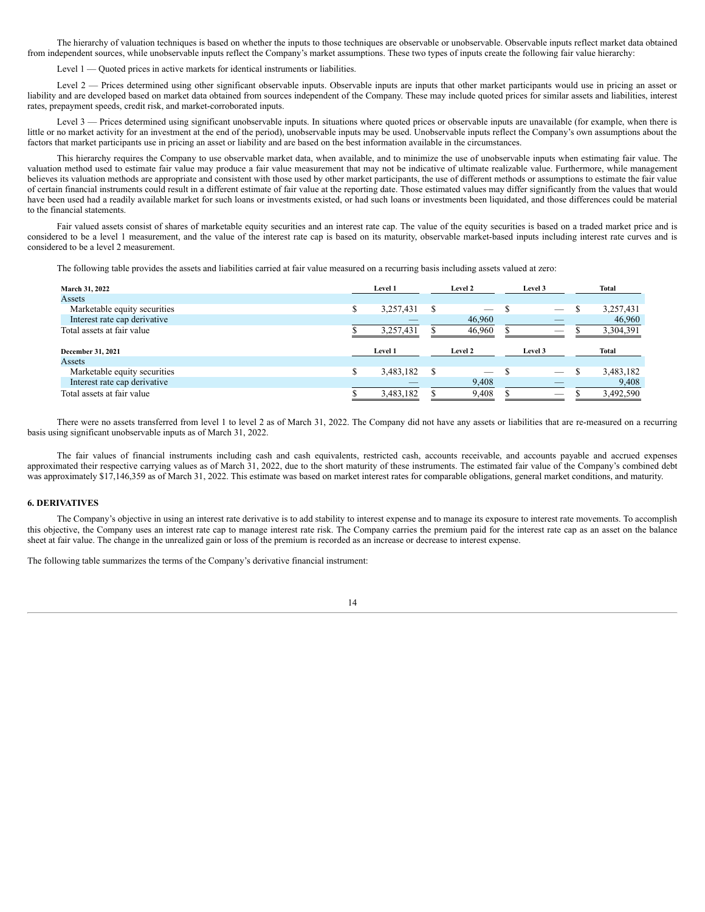The hierarchy of valuation techniques is based on whether the inputs to those techniques are observable or unobservable. Observable inputs reflect market data obtained from independent sources, while unobservable inputs reflect the Company's market assumptions. These two types of inputs create the following fair value hierarchy:

Level 1 — Quoted prices in active markets for identical instruments or liabilities.

Level 2 — Prices determined using other significant observable inputs. Observable inputs are inputs that other market participants would use in pricing an asset or liability and are developed based on market data obtained from sources independent of the Company. These may include quoted prices for similar assets and liabilities, interest rates, prepayment speeds, credit risk, and market-corroborated inputs.

Level 3 — Prices determined using significant unobservable inputs. In situations where quoted prices or observable inputs are unavailable (for example, when there is little or no market activity for an investment at the end of the period), unobservable inputs may be used. Unobservable inputs reflect the Company's own assumptions about the factors that market participants use in pricing an asset or liability and are based on the best information available in the circumstances.

This hierarchy requires the Company to use observable market data, when available, and to minimize the use of unobservable inputs when estimating fair value. The valuation method used to estimate fair value may produce a fair value measurement that may not be indicative of ultimate realizable value. Furthermore, while management believes its valuation methods are appropriate and consistent with those used by other market participants, the use of different methods or assumptions to estimate the fair value of certain financial instruments could result in a different estimate of fair value at the reporting date. Those estimated values may differ significantly from the values that would have been used had a readily available market for such loans or investments existed, or had such loans or investments been liquidated, and those differences could be material to the financial statements.

Fair valued assets consist of shares of marketable equity securities and an interest rate cap. The value of the equity securities is based on a traded market price and is considered to be a level 1 measurement, and the value of the interest rate cap is based on its maturity, observable market-based inputs including interest rate curves and is considered to be a level 2 measurement.

The following table provides the assets and liabilities carried at fair value measured on a recurring basis including assets valued at zero:

| <b>March 31, 2022</b>        | Level 1   | Level 2                  | Level 3 |   | Total     |
|------------------------------|-----------|--------------------------|---------|---|-----------|
| Assets                       |           |                          |         |   |           |
| Marketable equity securities | 3,257,431 | $\overline{\phantom{m}}$ |         | S | 3,257,431 |
| Interest rate cap derivative |           | 46,960                   |         |   | 46,960    |
| Total assets at fair value   | 3,257,431 | 46.960                   |         |   | 3,304,391 |
|                              | Level 1   | Level 2                  | Level 3 |   | Total     |
| December 31, 2021            |           |                          |         |   |           |
|                              |           |                          |         |   |           |
| Assets                       |           |                          |         |   |           |
| Marketable equity securities | 3,483,182 |                          |         |   | 3,483,182 |
| Interest rate cap derivative |           | 9.408                    |         |   | 9,408     |

There were no assets transferred from level 1 to level 2 as of March 31, 2022. The Company did not have any assets or liabilities that are re-measured on a recurring basis using significant unobservable inputs as of March 31, 2022.

The fair values of financial instruments including cash and cash equivalents, restricted cash, accounts receivable, and accounts payable and accrued expenses approximated their respective carrying values as of March 31, 2022, due to the short maturity of these instruments. The estimated fair value of the Company's combined debt was approximately \$17,146,359 as of March 31, 2022. This estimate was based on market interest rates for comparable obligations, general market conditions, and maturity.

# **6. DERIVATIVES**

The Company's objective in using an interest rate derivative is to add stability to interest expense and to manage its exposure to interest rate movements. To accomplish this objective, the Company uses an interest rate cap to manage interest rate risk. The Company carries the premium paid for the interest rate cap as an asset on the balance sheet at fair value. The change in the unrealized gain or loss of the premium is recorded as an increase or decrease to interest expense.

The following table summarizes the terms of the Company's derivative financial instrument: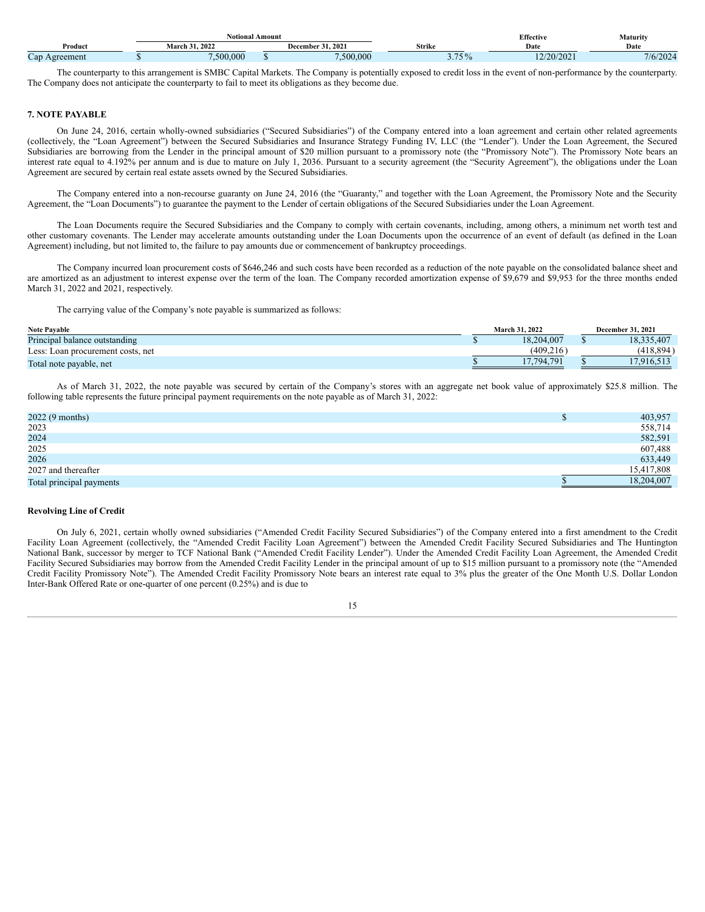|                         | Notional Amount  |                         |        | ∴ffective | <b>Maturity</b> |
|-------------------------|------------------|-------------------------|--------|-----------|-----------------|
| Product                 | 31.2022<br>March | 31.2021<br>Dec<br>`emb. | Strike | Date      | Date            |
| $\sim$<br>Cap Agreement | 7.500.000        | .000<br>500             |        | /20/2021  | 7/6/2024        |

The counterparty to this arrangement is SMBC Capital Markets. The Company is potentially exposed to credit loss in the event of non-performance by the counterparty. The Company does not anticipate the counterparty to fail to meet its obligations as they become due.

# **7. NOTE PAYABLE**

On June 24, 2016, certain wholly-owned subsidiaries ("Secured Subsidiaries") of the Company entered into a loan agreement and certain other related agreements (collectively, the "Loan Agreement") between the Secured Subsidiaries and Insurance Strategy Funding IV, LLC (the "Lender"). Under the Loan Agreement, the Secured Subsidiaries are borrowing from the Lender in the principal amount of \$20 million pursuant to a promissory note (the "Promissory Note"). The Promissory Note bears an interest rate equal to 4.192% per annum and is due to mature on July 1, 2036. Pursuant to a security agreement (the "Security Agreement"), the obligations under the Loan Agreement are secured by certain real estate assets owned by the Secured Subsidiaries.

The Company entered into a non-recourse guaranty on June 24, 2016 (the "Guaranty," and together with the Loan Agreement, the Promissory Note and the Security Agreement, the "Loan Documents") to guarantee the payment to the Lender of certain obligations of the Secured Subsidiaries under the Loan Agreement.

The Loan Documents require the Secured Subsidiaries and the Company to comply with certain covenants, including, among others, a minimum net worth test and other customary covenants. The Lender may accelerate amounts outstanding under the Loan Documents upon the occurrence of an event of default (as defined in the Loan Agreement) including, but not limited to, the failure to pay amounts due or commencement of bankruptcy proceedings.

The Company incurred loan procurement costs of \$646,246 and such costs have been recorded as a reduction of the note payable on the consolidated balance sheet and are amortized as an adjustment to interest expense over the term of the loan. The Company recorded amortization expense of \$9,679 and \$9,953 for the three months ended March 31, 2022 and 2021, respectively.

The carrying value of the Company's note payable is summarized as follows:

| <b>Note Pavable</b>               | <b>March 31, 2022</b> | <b>December 31, 2021</b> |            |  |
|-----------------------------------|-----------------------|--------------------------|------------|--|
| Principal balance outstanding     | 18.204.007            |                          | 18.335.407 |  |
| Less: Loan procurement costs, net | (409.216)             |                          | (418,894)  |  |
| Total note payable, net           | 17.794.791            |                          | 17.916.513 |  |

As of March 31, 2022, the note payable was secured by certain of the Company's stores with an aggregate net book value of approximately \$25.8 million. The following table represents the future principal payment requirements on the note payable as of March 31, 2022:

| 2022 (9 months)          | 403,957    |
|--------------------------|------------|
| 2023                     | 558,714    |
| 2024                     | 582,591    |
| 2025                     | 607,488    |
| 2026                     | 633,449    |
| 2027 and thereafter      | 15,417,808 |
| Total principal payments | 18,204,007 |

# **Revolving Line of Credit**

On July 6, 2021, certain wholly owned subsidiaries ("Amended Credit Facility Secured Subsidiaries") of the Company entered into a first amendment to the Credit Facility Loan Agreement (collectively, the "Amended Credit Facility Loan Agreement") between the Amended Credit Facility Secured Subsidiaries and The Huntington National Bank, successor by merger to TCF National Bank ("Amended Credit Facility Lender"). Under the Amended Credit Facility Loan Agreement, the Amended Credit Facility Secured Subsidiaries may borrow from the Amended Credit Facility Lender in the principal amount of up to \$15 million pursuant to a promissory note (the "Amended Credit Facility Promissory Note"). The Amended Credit Facility Promissory Note bears an interest rate equal to 3% plus the greater of the One Month U.S. Dollar London Inter-Bank Offered Rate or one-quarter of one percent (0.25%) and is due to

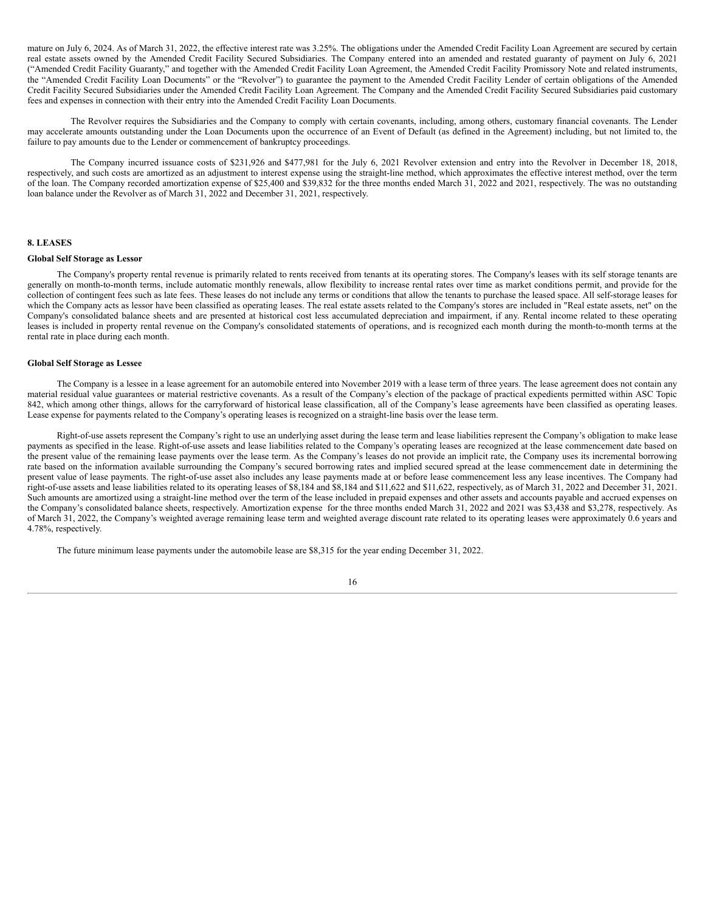mature on July 6, 2024. As of March 31, 2022, the effective interest rate was 3.25%. The obligations under the Amended Credit Facility Loan Agreement are secured by certain real estate assets owned by the Amended Credit Facility Secured Subsidiaries. The Company entered into an amended and restated guaranty of payment on July 6, 2021 ("Amended Credit Facility Guaranty," and together with the Amended Credit Facility Loan Agreement, the Amended Credit Facility Promissory Note and related instruments, the "Amended Credit Facility Loan Documents" or the "Revolver") to guarantee the payment to the Amended Credit Facility Lender of certain obligations of the Amended Credit Facility Secured Subsidiaries under the Amended Credit Facility Loan Agreement. The Company and the Amended Credit Facility Secured Subsidiaries paid customary fees and expenses in connection with their entry into the Amended Credit Facility Loan Documents.

The Revolver requires the Subsidiaries and the Company to comply with certain covenants, including, among others, customary financial covenants. The Lender may accelerate amounts outstanding under the Loan Documents upon the occurrence of an Event of Default (as defined in the Agreement) including, but not limited to, the failure to pay amounts due to the Lender or commencement of bankruptcy proceedings.

The Company incurred issuance costs of \$231,926 and \$477,981 for the July 6, 2021 Revolver extension and entry into the Revolver in December 18, 2018, respectively, and such costs are amortized as an adjustment to interest expense using the straight-line method, which approximates the effective interest method, over the term of the loan. The Company recorded amortization expense of \$25,400 and \$39,832 for the three months ended March 31, 2022 and 2021, respectively. The was no outstanding loan balance under the Revolver as of March 31, 2022 and December 31, 2021, respectively.

# **8. LEASES**

# **Global Self Storage as Lessor**

The Company's property rental revenue is primarily related to rents received from tenants at its operating stores. The Company's leases with its self storage tenants are generally on month-to-month terms, include automatic monthly renewals, allow flexibility to increase rental rates over time as market conditions permit, and provide for the collection of contingent fees such as late fees. These leases do not include any terms or conditions that allow the tenants to purchase the leased space. All self-storage leases for which the Company acts as lessor have been classified as operating leases. The real estate assets related to the Company's stores are included in "Real estate assets, net" on the Company's consolidated balance sheets and are presented at historical cost less accumulated depreciation and impairment, if any. Rental income related to these operating leases is included in property rental revenue on the Company's consolidated statements of operations, and is recognized each month during the month-to-month terms at the rental rate in place during each month.

# **Global Self Storage as Lessee**

The Company is a lessee in a lease agreement for an automobile entered into November 2019 with a lease term of three years. The lease agreement does not contain any material residual value guarantees or material restrictive covenants. As a result of the Company's election of the package of practical expedients permitted within ASC Topic 842, which among other things, allows for the carryforward of historical lease classification, all of the Company's lease agreements have been classified as operating leases. Lease expense for payments related to the Company's operating leases is recognized on a straight-line basis over the lease term.

Right-of-use assets represent the Company's right to use an underlying asset during the lease term and lease liabilities represent the Company's obligation to make lease payments as specified in the lease. Right-of-use assets and lease liabilities related to the Company's operating leases are recognized at the lease commencement date based on the present value of the remaining lease payments over the lease term. As the Company's leases do not provide an implicit rate, the Company uses its incremental borrowing rate based on the information available surrounding the Company's secured borrowing rates and implied secured spread at the lease commencement date in determining the present value of lease payments. The right-of-use asset also includes any lease payments made at or before lease commencement less any lease incentives. The Company had right-of-use assets and lease liabilities related to its operating leases of \$8,184 and \$8,184 and \$11,622 and \$11,622, respectively, as of March 31, 2022 and December 31, 2021. Such amounts are amortized using a straight-line method over the term of the lease included in prepaid expenses and other assets and accounts payable and accrued expenses on the Company's consolidated balance sheets, respectively. Amortization expense for the three months ended March 31, 2022 and 2021 was \$3,438 and \$3,278, respectively. As of March 31, 2022, the Company's weighted average remaining lease term and weighted average discount rate related to its operating leases were approximately 0.6 years and 4.78%, respectively.

The future minimum lease payments under the automobile lease are \$8,315 for the year ending December 31, 2022.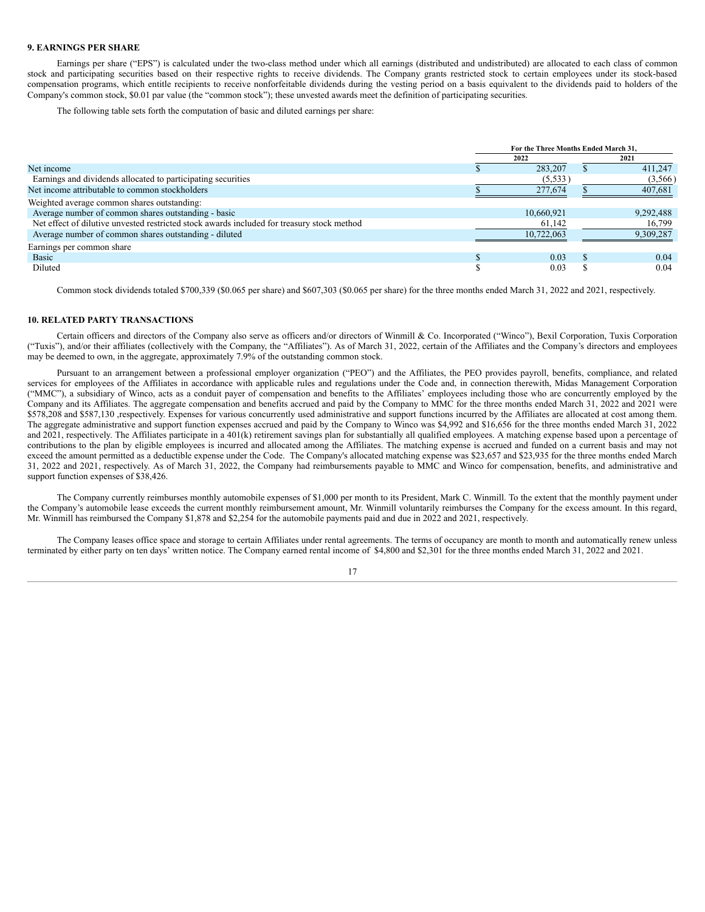### **9. EARNINGS PER SHARE**

Earnings per share ("EPS") is calculated under the two-class method under which all earnings (distributed and undistributed) are allocated to each class of common stock and participating securities based on their respective rights to receive dividends. The Company grants restricted stock to certain employees under its stock-based compensation programs, which entitle recipients to receive nonforfeitable dividends during the vesting period on a basis equivalent to the dividends paid to holders of the Company's common stock, \$0.01 par value (the "common stock"); these unvested awards meet the definition of participating securities.

The following table sets forth the computation of basic and diluted earnings per share:

|                                                                                            | For the Three Months Ended March 31, |            |  |           |
|--------------------------------------------------------------------------------------------|--------------------------------------|------------|--|-----------|
|                                                                                            |                                      | 2022       |  | 2021      |
| Net income                                                                                 |                                      | 283.207    |  | 411.247   |
| Earnings and dividends allocated to participating securities                               |                                      | (5,533)    |  | (3,566)   |
| Net income attributable to common stockholders                                             |                                      | 277,674    |  | 407,681   |
| Weighted average common shares outstanding:                                                |                                      |            |  |           |
| Average number of common shares outstanding - basic                                        |                                      | 10,660,921 |  | 9,292,488 |
| Net effect of dilutive unvested restricted stock awards included for treasury stock method |                                      | 61,142     |  | 16,799    |
| Average number of common shares outstanding - diluted                                      |                                      | 10,722,063 |  | 9,309,287 |
| Earnings per common share                                                                  |                                      |            |  |           |
| Basic                                                                                      |                                      | 0.03       |  | 0.04      |
| Diluted                                                                                    |                                      | 0.03       |  | 0.04      |

Common stock dividends totaled \$700,339 (\$0.065 per share) and \$607,303 (\$0.065 per share) for the three months ended March 31, 2022 and 2021, respectively.

#### **10. RELATED PARTY TRANSACTIONS**

Certain officers and directors of the Company also serve as officers and/or directors of Winmill & Co. Incorporated ("Winco"), Bexil Corporation, Tuxis Corporation ("Tuxis"), and/or their affiliates (collectively with the Company, the "Affiliates"). As of March 31, 2022, certain of the Affiliates and the Company's directors and employees may be deemed to own, in the aggregate, approximately 7.9% of the outstanding common stock.

Pursuant to an arrangement between a professional employer organization ("PEO") and the Affiliates, the PEO provides payroll, benefits, compliance, and related services for employees of the Affiliates in accordance with applicable rules and regulations under the Code and, in connection therewith, Midas Management Corporation ("MMC"), a subsidiary of Winco, acts as a conduit payer of compensation and benefits to the Affiliates' employees including those who are concurrently employed by the Company and its Affiliates. The aggregate compensation and benefits accrued and paid by the Company to MMC for the three months ended March 31, 2022 and 2021 were \$578,208 and \$587,130 ,respectively. Expenses for various concurrently used administrative and support functions incurred by the Affiliates are allocated at cost among them. The aggregate administrative and support function expenses accrued and paid by the Company to Winco was \$4,992 and \$16,656 for the three months ended March 31, 2022 and 2021, respectively. The Affiliates participate in a  $401(k)$  retirement savings plan for substantially all qualified employees. A matching expense based upon a percentage of contributions to the plan by eligible employees is incurred and allocated among the Affiliates. The matching expense is accrued and funded on a current basis and may not exceed the amount permitted as a deductible expense under the Code. The Company's allocated matching expense was \$23,657 and \$23,935 for the three months ended March 31, 2022 and 2021, respectively. As of March 31, 2022, the Company had reimbursements payable to MMC and Winco for compensation, benefits, and administrative and support function expenses of \$38,426.

The Company currently reimburses monthly automobile expenses of \$1,000 per month to its President, Mark C. Winmill. To the extent that the monthly payment under the Company's automobile lease exceeds the current monthly reimbursement amount, Mr. Winmill voluntarily reimburses the Company for the excess amount. In this regard, Mr. Winmill has reimbursed the Company \$1,878 and \$2,254 for the automobile payments paid and due in 2022 and 2021, respectively.

The Company leases office space and storage to certain Affiliates under rental agreements. The terms of occupancy are month to month and automatically renew unless terminated by either party on ten days' written notice. The Company earned rental income of \$4,800 and \$2,301 for the three months ended March 31, 2022 and 2021.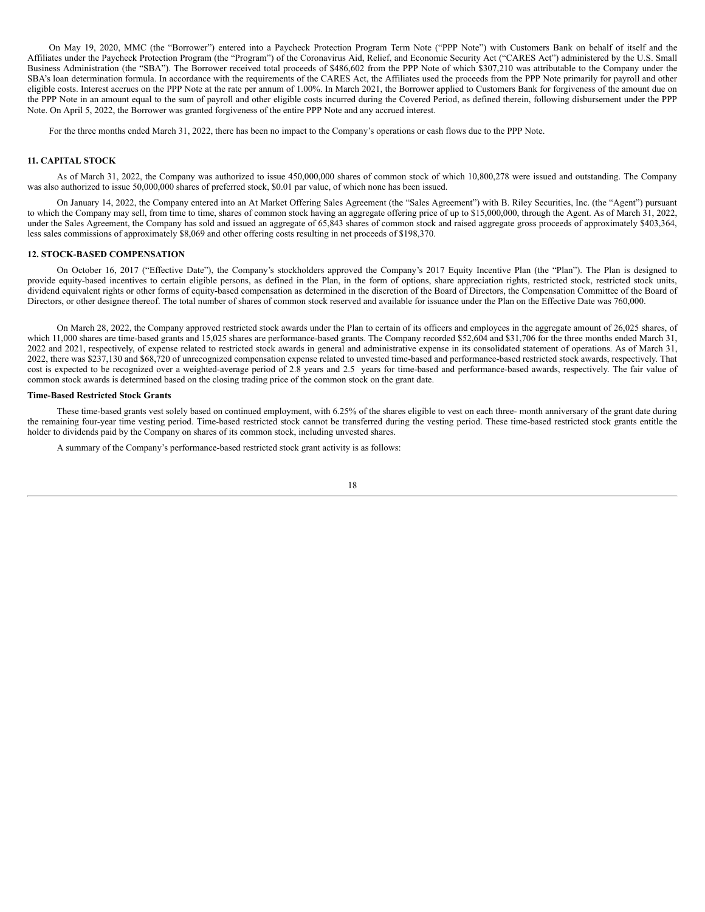On May 19, 2020, MMC (the "Borrower") entered into a Paycheck Protection Program Term Note ("PPP Note") with Customers Bank on behalf of itself and the Affiliates under the Paycheck Protection Program (the "Program") of the Coronavirus Aid, Relief, and Economic Security Act ("CARES Act") administered by the U.S. Small Business Administration (the "SBA"). The Borrower received total proceeds of \$486,602 from the PPP Note of which \$307,210 was attributable to the Company under the SBA's loan determination formula. In accordance with the requirements of the CARES Act, the Affiliates used the proceeds from the PPP Note primarily for payroll and other eligible costs. Interest accrues on the PPP Note at the rate per annum of 1.00%. In March 2021, the Borrower applied to Customers Bank for forgiveness of the amount due on the PPP Note in an amount equal to the sum of payroll and other eligible costs incurred during the Covered Period, as defined therein, following disbursement under the PPP Note. On April 5, 2022, the Borrower was granted forgiveness of the entire PPP Note and any accrued interest.

For the three months ended March 31, 2022, there has been no impact to the Company's operations or cash flows due to the PPP Note.

### **11. CAPITAL STOCK**

As of March 31, 2022, the Company was authorized to issue 450,000,000 shares of common stock of which 10,800,278 were issued and outstanding. The Company was also authorized to issue 50,000,000 shares of preferred stock, \$0.01 par value, of which none has been issued.

On January 14, 2022, the Company entered into an At Market Offering Sales Agreement (the "Sales Agreement") with B. Riley Securities, Inc. (the "Agent") pursuant to which the Company may sell, from time to time, shares of common stock having an aggregate offering price of up to \$15,000,000, through the Agent. As of March 31, 2022, under the Sales Agreement, the Company has sold and issued an aggregate of 65,843 shares of common stock and raised aggregate gross proceeds of approximately \$403,364, less sales commissions of approximately \$8,069 and other offering costs resulting in net proceeds of \$198,370.

#### **12. STOCK-BASED COMPENSATION**

On October 16, 2017 ("Effective Date"), the Company's stockholders approved the Company's 2017 Equity Incentive Plan (the "Plan"). The Plan is designed to provide equity-based incentives to certain eligible persons, as defined in the Plan, in the form of options, share appreciation rights, restricted stock, restricted stock units, dividend equivalent rights or other forms of equity-based compensation as determined in the discretion of the Board of Directors, the Compensation Committee of the Board of Directors, or other designee thereof. The total number of shares of common stock reserved and available for issuance under the Plan on the Effective Date was 760,000.

On March 28, 2022, the Company approved restricted stock awards under the Plan to certain of its officers and employees in the aggregate amount of 26,025 shares, of which 11,000 shares are time-based grants and 15,025 shares are performance-based grants. The Company recorded \$52,604 and \$31,706 for the three months ended March 31, 2022 and 2021, respectively, of expense related to restricted stock awards in general and administrative expense in its consolidated statement of operations. As of March 31, 2022, there was \$237,130 and \$68,720 of unrecognized compensation expense related to unvested time-based and performance-based restricted stock awards, respectively. That cost is expected to be recognized over a weighted-average period of 2.8 years and 2.5 years for time-based and performance-based awards, respectively. The fair value of common stock awards is determined based on the closing trading price of the common stock on the grant date.

#### **Time-Based Restricted Stock Grants**

These time-based grants vest solely based on continued employment, with 6.25% of the shares eligible to vest on each three- month anniversary of the grant date during the remaining four-year time vesting period. Time-based restricted stock cannot be transferred during the vesting period. These time-based restricted stock grants entitle the holder to dividends paid by the Company on shares of its common stock, including unvested shares.

A summary of the Company's performance-based restricted stock grant activity is as follows: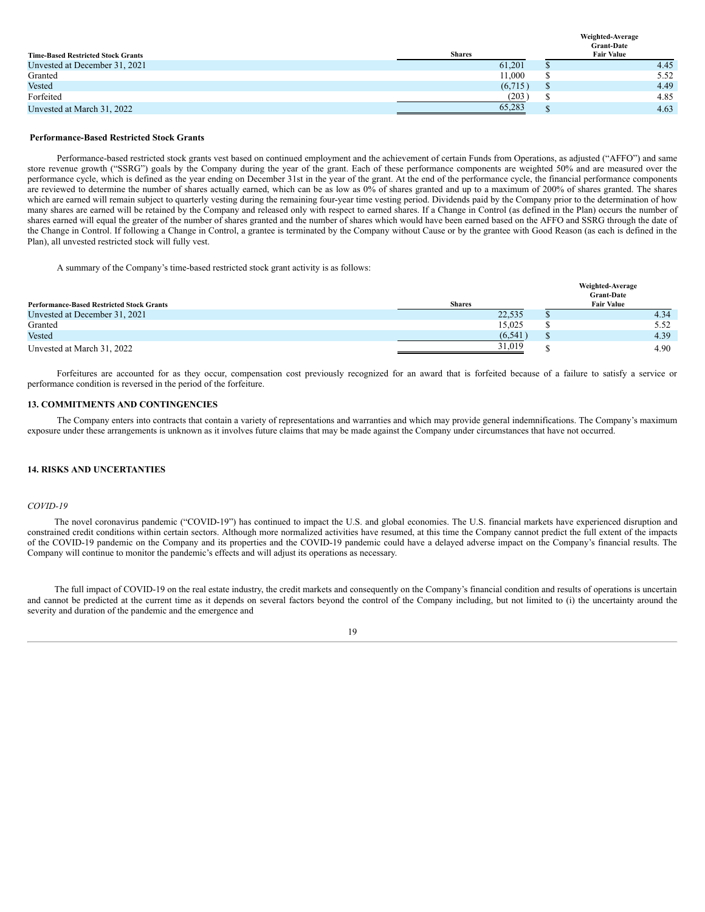| <b>Time-Based Restricted Stock Grants</b> | <b>Shares</b> | <b><i>Heighten Interage</i></b><br><b>Grant-Date</b><br><b>Fair Value</b> |      |
|-------------------------------------------|---------------|---------------------------------------------------------------------------|------|
| Unvested at December 31, 2021             | 61,201        |                                                                           | 4.45 |
| Granted                                   | 11.000        |                                                                           | 5.52 |
| Vested                                    | (6,715)       |                                                                           | 4.49 |
| Forfeited                                 | (203)         |                                                                           | 4.85 |
| Unvested at March 31, 2022                | 65,283        |                                                                           | 4.63 |

**Weighted-Average**

# **Performance-Based Restricted Stock Grants**

Performance-based restricted stock grants vest based on continued employment and the achievement of certain Funds from Operations, as adjusted ("AFFO") and same store revenue growth ("SSRG") goals by the Company during the year of the grant. Each of these performance components are weighted 50% and are measured over the performance cycle, which is defined as the year ending on December 31st in the year of the grant. At the end of the performance cycle, the financial performance components are reviewed to determine the number of shares actually earned, which can be as low as 0% of shares granted and up to a maximum of 200% of shares granted. The shares which are earned will remain subject to quarterly vesting during the remaining four-year time vesting period. Dividends paid by the Company prior to the determination of how many shares are earned will be retained by the Company and released only with respect to earned shares. If a Change in Control (as defined in the Plan) occurs the number of shares earned will equal the greater of the number of shares granted and the number of shares which would have been earned based on the AFFO and SSRG through the date of the Change in Control. If following a Change in Control, a grantee is terminated by the Company without Cause or by the grantee with Good Reason (as each is defined in the Plan), all unvested restricted stock will fully vest.

A summary of the Company's time-based restricted stock grant activity is as follows:

|                                                  |               | Weighted-Average<br><b>Grant-Date</b> |
|--------------------------------------------------|---------------|---------------------------------------|
| <b>Performance-Based Restricted Stock Grants</b> | <b>Shares</b> | <b>Fair Value</b>                     |
| Unvested at December 31, 2021                    | 22,535        | 4.34                                  |
| Granted                                          | 15.025        | 5.52                                  |
| Vested                                           | (6, 541)      | 4.39                                  |
| Unvested at March 31, 2022                       | 31,019        | 4.90                                  |

Forfeitures are accounted for as they occur, compensation cost previously recognized for an award that is forfeited because of a failure to satisfy a service or performance condition is reversed in the period of the forfeiture.

# **13. COMMITMENTS AND CONTINGENCIES**

The Company enters into contracts that contain a variety of representations and warranties and which may provide general indemnifications. The Company's maximum exposure under these arrangements is unknown as it involves future claims that may be made against the Company under circumstances that have not occurred.

# **14. RISKS AND UNCERTANTIES**

# *COVID-19*

The novel coronavirus pandemic ("COVID-19") has continued to impact the U.S. and global economies. The U.S. financial markets have experienced disruption and constrained credit conditions within certain sectors. Although more normalized activities have resumed, at this time the Company cannot predict the full extent of the impacts of the COVID-19 pandemic on the Company and its properties and the COVID-19 pandemic could have a delayed adverse impact on the Company's financial results. The Company will continue to monitor the pandemic's effects and will adjust its operations as necessary.

The full impact of COVID-19 on the real estate industry, the credit markets and consequently on the Company's financial condition and results of operations is uncertain and cannot be predicted at the current time as it depends on several factors beyond the control of the Company including, but not limited to (i) the uncertainty around the severity and duration of the pandemic and the emergence and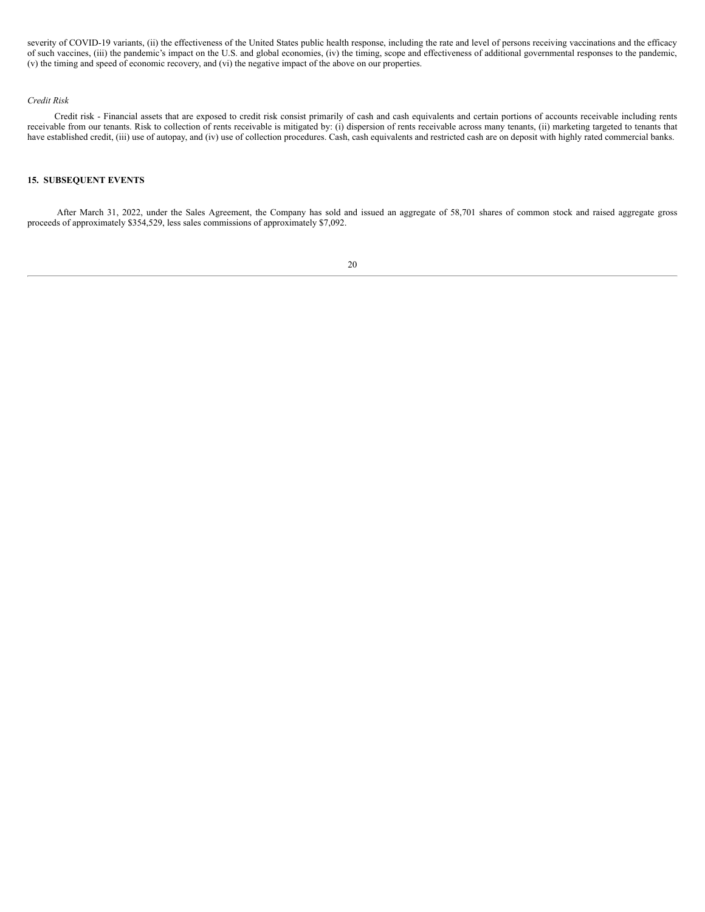severity of COVID-19 variants, (ii) the effectiveness of the United States public health response, including the rate and level of persons receiving vaccinations and the efficacy of such vaccines, (iii) the pandemic's impact on the U.S. and global economies, (iv) the timing, scope and effectiveness of additional governmental responses to the pandemic, (v) the timing and speed of economic recovery, and (vi) the negative impact of the above on our properties.

# *Credit Risk*

Credit risk - Financial assets that are exposed to credit risk consist primarily of cash and cash equivalents and certain portions of accounts receivable including rents receivable from our tenants. Risk to collection of rents receivable is mitigated by: (i) dispersion of rents receivable across many tenants, (ii) marketing targeted to tenants that have established credit, (iii) use of autopay, and (iv) use of collection procedures. Cash, cash equivalents and restricted cash are on deposit with highly rated commercial banks.

# **15. SUBSEQUENT EVENTS**

After March 31, 2022, under the Sales Agreement, the Company has sold and issued an aggregate of 58,701 shares of common stock and raised aggregate gross proceeds of approximately \$354,529, less sales commissions of approximately \$7,092.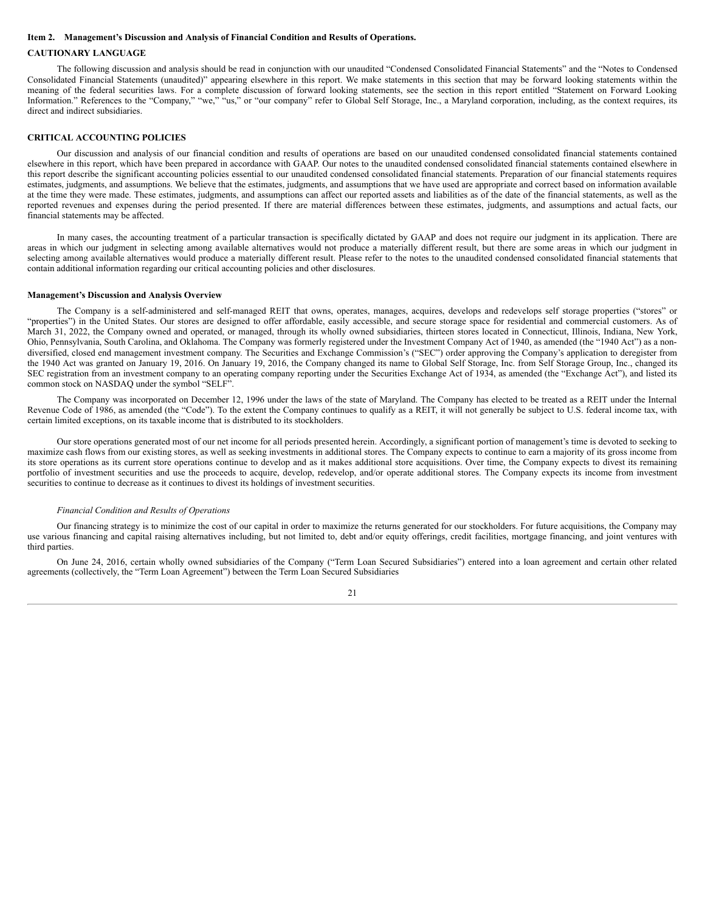# <span id="page-20-0"></span>**Item 2. Management's Discussion and Analysis of Financial Condition and Results of Operations.**

#### **CAUTIONARY LANGUAGE**

The following discussion and analysis should be read in conjunction with our unaudited "Condensed Consolidated Financial Statements" and the "Notes to Condensed Consolidated Financial Statements (unaudited)" appearing elsewhere in this report. We make statements in this section that may be forward looking statements within the meaning of the federal securities laws. For a complete discussion of forward looking statements, see the section in this report entitled "Statement on Forward Looking Information." References to the "Company," "we," "us," or "our company" refer to Global Self Storage, Inc., a Maryland corporation, including, as the context requires, its direct and indirect subsidiaries.

# **CRITICAL ACCOUNTING POLICIES**

Our discussion and analysis of our financial condition and results of operations are based on our unaudited condensed consolidated financial statements contained elsewhere in this report, which have been prepared in accordance with GAAP. Our notes to the unaudited condensed consolidated financial statements contained elsewhere in this report describe the significant accounting policies essential to our unaudited condensed consolidated financial statements. Preparation of our financial statements requires estimates, judgments, and assumptions. We believe that the estimates, judgments, and assumptions that we have used are appropriate and correct based on information available at the time they were made. These estimates, judgments, and assumptions can affect our reported assets and liabilities as of the date of the financial statements, as well as the reported revenues and expenses during the period presented. If there are material differences between these estimates, judgments, and assumptions and actual facts, our financial statements may be affected.

In many cases, the accounting treatment of a particular transaction is specifically dictated by GAAP and does not require our judgment in its application. There are areas in which our judgment in selecting among available alternatives would not produce a materially different result, but there are some areas in which our judgment in selecting among available alternatives would produce a materially different result. Please refer to the notes to the unaudited condensed consolidated financial statements that contain additional information regarding our critical accounting policies and other disclosures.

#### **Management's Discussion and Analysis Overview**

The Company is a self-administered and self-managed REIT that owns, operates, manages, acquires, develops and redevelops self storage properties ("stores" or "properties") in the United States. Our stores are designed to offer affordable, easily accessible, and secure storage space for residential and commercial customers. As of March 31, 2022, the Company owned and operated, or managed, through its wholly owned subsidiaries, thirteen stores located in Connecticut, Illinois, Indiana, New York, Ohio, Pennsylvania, South Carolina, and Oklahoma. The Company was formerly registered under the Investment Company Act of 1940, as amended (the "1940 Act") as a nondiversified, closed end management investment company. The Securities and Exchange Commission's ("SEC") order approving the Company's application to deregister from the 1940 Act was granted on January 19, 2016. On January 19, 2016, the Company changed its name to Global Self Storage, Inc. from Self Storage Group, Inc., changed its SEC registration from an investment company to an operating company reporting under the Securities Exchange Act of 1934, as amended (the "Exchange Act"), and listed its common stock on NASDAQ under the symbol "SELF".

The Company was incorporated on December 12, 1996 under the laws of the state of Maryland. The Company has elected to be treated as a REIT under the Internal Revenue Code of 1986, as amended (the "Code"). To the extent the Company continues to qualify as a REIT, it will not generally be subject to U.S. federal income tax, with certain limited exceptions, on its taxable income that is distributed to its stockholders.

Our store operations generated most of our net income for all periods presented herein. Accordingly, a significant portion of management's time is devoted to seeking to maximize cash flows from our existing stores, as well as seeking investments in additional stores. The Company expects to continue to earn a majority of its gross income from its store operations as its current store operations continue to develop and as it makes additional store acquisitions. Over time, the Company expects to divest its remaining portfolio of investment securities and use the proceeds to acquire, develop, redevelop, and/or operate additional stores. The Company expects its income from investment securities to continue to decrease as it continues to divest its holdings of investment securities.

#### *Financial Condition and Results of Operations*

Our financing strategy is to minimize the cost of our capital in order to maximize the returns generated for our stockholders. For future acquisitions, the Company may use various financing and capital raising alternatives including, but not limited to, debt and/or equity offerings, credit facilities, mortgage financing, and joint ventures with third parties.

On June 24, 2016, certain wholly owned subsidiaries of the Company ("Term Loan Secured Subsidiaries") entered into a loan agreement and certain other related agreements (collectively, the "Term Loan Agreement") between the Term Loan Secured Subsidiaries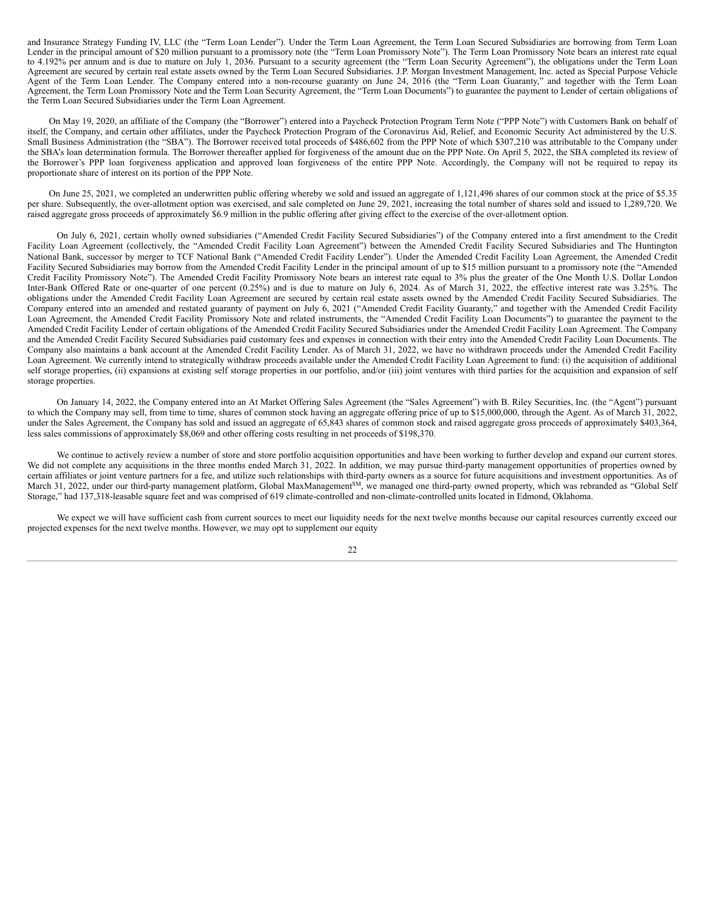and Insurance Strategy Funding IV, LLC (the "Term Loan Lender"). Under the Term Loan Agreement, the Term Loan Secured Subsidiaries are borrowing from Term Loan Lender in the principal amount of \$20 million pursuant to a promissory note (the "Term Loan Promissory Note"). The Term Loan Promissory Note bears an interest rate equal to 4.192% per annum and is due to mature on July 1, 2036. Pursuant to a security agreement (the "Term Loan Security Agreement"), the obligations under the Term Loan Agreement are secured by certain real estate assets owned by the Term Loan Secured Subsidiaries. J.P. Morgan Investment Management, Inc. acted as Special Purpose Vehicle Agent of the Term Loan Lender. The Company entered into a non-recourse guaranty on June 24, 2016 (the "Term Loan Guaranty," and together with the Term Loan Agreement, the Term Loan Promissory Note and the Term Loan Security Agreement, the "Term Loan Documents") to guarantee the payment to Lender of certain obligations of the Term Loan Secured Subsidiaries under the Term Loan Agreement.

On May 19, 2020, an affiliate of the Company (the "Borrower") entered into a Paycheck Protection Program Term Note ("PPP Note") with Customers Bank on behalf of itself, the Company, and certain other affiliates, under the Paycheck Protection Program of the Coronavirus Aid, Relief, and Economic Security Act administered by the U.S. Small Business Administration (the "SBA"). The Borrower received total proceeds of \$486,602 from the PPP Note of which \$307,210 was attributable to the Company under the SBA's loan determination formula. The Borrower thereafter applied for forgiveness of the amount due on the PPP Note. On April 5, 2022, the SBA completed its review of the Borrower's PPP loan forgiveness application and approved loan forgiveness of the entire PPP Note. Accordingly, the Company will not be required to repay its proportionate share of interest on its portion of the PPP Note.

On June 25, 2021, we completed an underwritten public offering whereby we sold and issued an aggregate of 1,121,496 shares of our common stock at the price of \$5.35 per share. Subsequently, the over-allotment option was exercised, and sale completed on June 29, 2021, increasing the total number of shares sold and issued to 1,289,720. We raised aggregate gross proceeds of approximately \$6.9 million in the public offering after giving effect to the exercise of the over-allotment option.

On July 6, 2021, certain wholly owned subsidiaries ("Amended Credit Facility Secured Subsidiaries") of the Company entered into a first amendment to the Credit Facility Loan Agreement (collectively, the "Amended Credit Facility Loan Agreement") between the Amended Credit Facility Secured Subsidiaries and The Huntington National Bank, successor by merger to TCF National Bank ("Amended Credit Facility Lender"). Under the Amended Credit Facility Loan Agreement, the Amended Credit Facility Secured Subsidiaries may borrow from the Amended Credit Facility Lender in the principal amount of up to \$15 million pursuant to a promissory note (the "Amended Credit Facility Promissory Note"). The Amended Credit Facility Promissory Note bears an interest rate equal to 3% plus the greater of the One Month U.S. Dollar London Inter-Bank Offered Rate or one-quarter of one percent (0.25%) and is due to mature on July 6, 2024. As of March 31, 2022, the effective interest rate was 3.25%. The obligations under the Amended Credit Facility Loan Agreement are secured by certain real estate assets owned by the Amended Credit Facility Secured Subsidiaries. The Company entered into an amended and restated guaranty of payment on July 6, 2021 ("Amended Credit Facility Guaranty," and together with the Amended Credit Facility Loan Agreement, the Amended Credit Facility Promissory Note and related instruments, the "Amended Credit Facility Loan Documents") to guarantee the payment to the Amended Credit Facility Lender of certain obligations of the Amended Credit Facility Secured Subsidiaries under the Amended Credit Facility Loan Agreement. The Company and the Amended Credit Facility Secured Subsidiaries paid customary fees and expenses in connection with their entry into the Amended Credit Facility Loan Documents. The Company also maintains a bank account at the Amended Credit Facility Lender. As of March 31, 2022, we have no withdrawn proceeds under the Amended Credit Facility Loan Agreement. We currently intend to strategically withdraw proceeds available under the Amended Credit Facility Loan Agreement to fund: (i) the acquisition of additional self storage properties, (ii) expansions at existing self storage properties in our portfolio, and/or (iii) joint ventures with third parties for the acquisition and expansion of self storage properties.

On January 14, 2022, the Company entered into an At Market Offering Sales Agreement (the "Sales Agreement") with B. Riley Securities, Inc. (the "Agent") pursuant to which the Company may sell, from time to time, shares of common stock having an aggregate offering price of up to \$15,000,000, through the Agent. As of March 31, 2022, under the Sales Agreement, the Company has sold and issued an aggregate of 65,843 shares of common stock and raised aggregate gross proceeds of approximately \$403,364, less sales commissions of approximately \$8,069 and other offering costs resulting in net proceeds of \$198,370.

We continue to actively review a number of store and store portfolio acquisition opportunities and have been working to further develop and expand our current stores. We did not complete any acquisitions in the three months ended March 31, 2022. In addition, we may pursue third-party management opportunities of properties owned by certain affiliates or joint venture partners for a fee, and utilize such relationships with third-party owners as a source for future acquisitions and investment opportunities. As of March 31, 2022, under our third-party management platform, Global MaxManagement<sup>SM</sup>, we managed one third-party owned property, which was rebranded as "Global Self Storage," had 137,318-leasable square feet and was comprised of 619 climate-controlled and non-climate-controlled units located in Edmond, Oklahoma.

We expect we will have sufficient cash from current sources to meet our liquidity needs for the next twelve months because our capital resources currently exceed our projected expenses for the next twelve months. However, we may opt to supplement our equity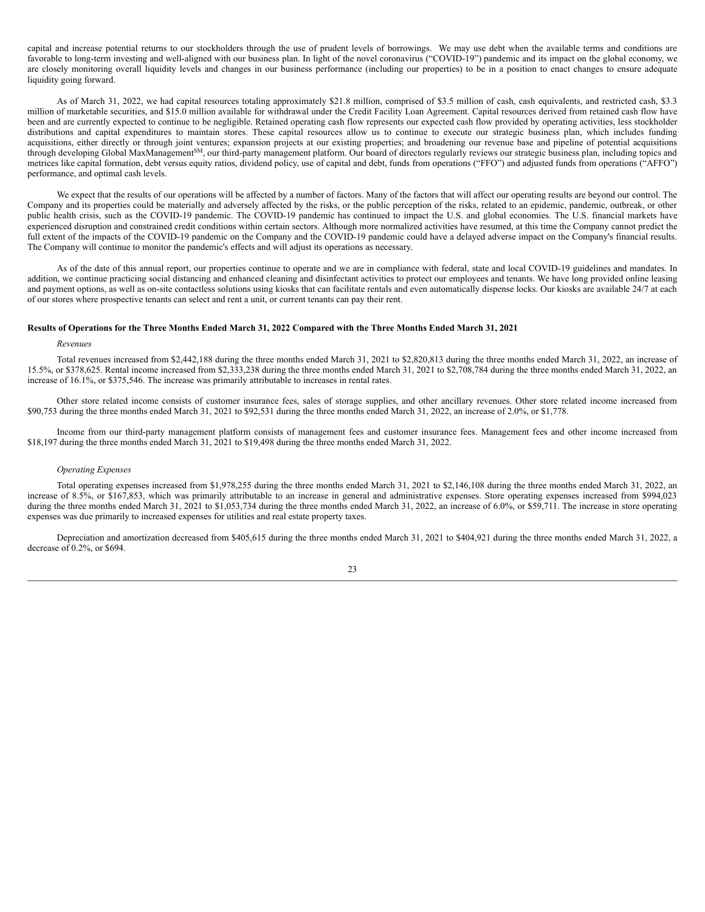capital and increase potential returns to our stockholders through the use of prudent levels of borrowings. We may use debt when the available terms and conditions are favorable to long-term investing and well-aligned with our business plan. In light of the novel coronavirus ("COVID-19") pandemic and its impact on the global economy, we are closely monitoring overall liquidity levels and changes in our business performance (including our properties) to be in a position to enact changes to ensure adequate liquidity going forward.

As of March 31, 2022, we had capital resources totaling approximately \$21.8 million, comprised of \$3.5 million of cash, cash equivalents, and restricted cash, \$3.3 million of marketable securities, and \$15.0 million available for withdrawal under the Credit Facility Loan Agreement. Capital resources derived from retained cash flow have been and are currently expected to continue to be negligible. Retained operating cash flow represents our expected cash flow provided by operating activities, less stockholder distributions and capital expenditures to maintain stores. These capital resources allow us to continue to execute our strategic business plan, which includes funding acquisitions, either directly or through joint ventures; expansion projects at our existing properties; and broadening our revenue base and pipeline of potential acquisitions through developing Global MaxManagementSM, our third-party management platform. Our board of directors regularly reviews our strategic business plan, including topics and metrices like capital formation, debt versus equity ratios, dividend policy, use of capital and debt, funds from operations ("FFO") and adjusted funds from operations ("AFFO") performance, and optimal cash levels.

We expect that the results of our operations will be affected by a number of factors. Many of the factors that will affect our operating results are beyond our control. The Company and its properties could be materially and adversely affected by the risks, or the public perception of the risks, related to an epidemic, pandemic, outbreak, or other public health crisis, such as the COVID-19 pandemic. The COVID-19 pandemic has continued to impact the U.S. and global economies. The U.S. financial markets have experienced disruption and constrained credit conditions within certain sectors. Although more normalized activities have resumed, at this time the Company cannot predict the full extent of the impacts of the COVID-19 pandemic on the Company and the COVID-19 pandemic could have a delayed adverse impact on the Company's financial results. The Company will continue to monitor the pandemic's effects and will adjust its operations as necessary.

As of the date of this annual report, our properties continue to operate and we are in compliance with federal, state and local COVID-19 guidelines and mandates. In addition, we continue practicing social distancing and enhanced cleaning and disinfectant activities to protect our employees and tenants. We have long provided online leasing and payment options, as well as on-site contactless solutions using kiosks that can facilitate rentals and even automatically dispense locks. Our kiosks are available 24/7 at each of our stores where prospective tenants can select and rent a unit, or current tenants can pay their rent.

### Results of Operations for the Three Months Ended March 31, 2022 Compared with the Three Months Ended March 31, 2021

# *Revenues*

Total revenues increased from \$2,442,188 during the three months ended March 31, 2021 to \$2,820,813 during the three months ended March 31, 2022, an increase of 15.5%, or \$378,625. Rental income increased from \$2,333,238 during the three months ended March 31, 2021 to \$2,708,784 during the three months ended March 31, 2022, an increase of 16.1%, or \$375,546. The increase was primarily attributable to increases in rental rates.

Other store related income consists of customer insurance fees, sales of storage supplies, and other ancillary revenues. Other store related income increased from \$90,753 during the three months ended March 31, 2021 to \$92,531 during the three months ended March 31, 2022, an increase of 2.0%, or \$1,778.

Income from our third-party management platform consists of management fees and customer insurance fees. Management fees and other income increased from \$18,197 during the three months ended March 31, 2021 to \$19,498 during the three months ended March 31, 2022.

# *Operating Expenses*

Total operating expenses increased from \$1,978,255 during the three months ended March 31, 2021 to \$2,146,108 during the three months ended March 31, 2022, an increase of 8.5%, or \$167,853, which was primarily attributable to an increase in general and administrative expenses. Store operating expenses increased from \$994,023 during the three months ended March 31, 2021 to \$1,053,734 during the three months ended March 31, 2022, an increase of 6.0%, or \$59,711. The increase in store operating expenses was due primarily to increased expenses for utilities and real estate property taxes.

Depreciation and amortization decreased from \$405,615 during the three months ended March 31, 2021 to \$404,921 during the three months ended March 31, 2022, a decrease of  $0.2\%$ , or \$694.

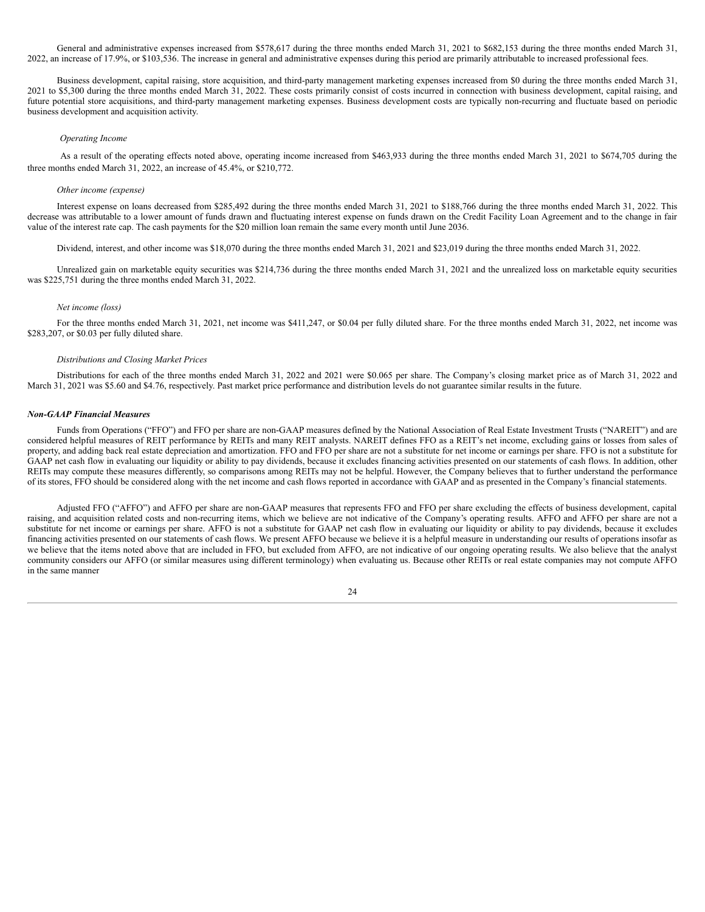General and administrative expenses increased from \$578,617 during the three months ended March 31, 2021 to \$682,153 during the three months ended March 31, 2022, an increase of 17.9%, or \$103,536. The increase in general and administrative expenses during this period are primarily attributable to increased professional fees.

Business development, capital raising, store acquisition, and third-party management marketing expenses increased from \$0 during the three months ended March 31, 2021 to \$5,300 during the three months ended March 31, 2022. These costs primarily consist of costs incurred in connection with business development, capital raising, and future potential store acquisitions, and third-party management marketing expenses. Business development costs are typically non-recurring and fluctuate based on periodic business development and acquisition activity.

### *Operating Income*

As a result of the operating effects noted above, operating income increased from \$463,933 during the three months ended March 31, 2021 to \$674,705 during the three months ended March 31, 2022, an increase of 45.4%, or \$210,772.

#### *Other income (expense)*

Interest expense on loans decreased from \$285,492 during the three months ended March 31, 2021 to \$188,766 during the three months ended March 31, 2022. This decrease was attributable to a lower amount of funds drawn and fluctuating interest expense on funds drawn on the Credit Facility Loan Agreement and to the change in fair value of the interest rate cap. The cash payments for the \$20 million loan remain the same every month until June 2036.

Dividend, interest, and other income was \$18,070 during the three months ended March 31, 2021 and \$23,019 during the three months ended March 31, 2022.

Unrealized gain on marketable equity securities was \$214,736 during the three months ended March 31, 2021 and the unrealized loss on marketable equity securities was \$225,751 during the three months ended March 31, 2022.

#### *Net income (loss)*

For the three months ended March 31, 2021, net income was \$411,247, or \$0.04 per fully diluted share. For the three months ended March 31, 2022, net income was \$283,207, or \$0.03 per fully diluted share.

# *Distributions and Closing Market Prices*

Distributions for each of the three months ended March 31, 2022 and 2021 were \$0.065 per share. The Company's closing market price as of March 31, 2022 and March 31, 2021 was \$5.60 and \$4.76, respectively. Past market price performance and distribution levels do not guarantee similar results in the future.

#### *Non-GAAP Financial Measures*

Funds from Operations ("FFO") and FFO per share are non-GAAP measures defined by the National Association of Real Estate Investment Trusts ("NAREIT") and are considered helpful measures of REIT performance by REITs and many REIT analysts. NAREIT defines FFO as a REIT's net income, excluding gains or losses from sales of property, and adding back real estate depreciation and amortization. FFO and FFO per share are not a substitute for net income or earnings per share. FFO is not a substitute for GAAP net cash flow in evaluating our liquidity or ability to pay dividends, because it excludes financing activities presented on our statements of cash flows. In addition, other REITs may compute these measures differently, so comparisons among REITs may not be helpful. However, the Company believes that to further understand the performance of its stores, FFO should be considered along with the net income and cash flows reported in accordance with GAAP and as presented in the Company's financial statements.

Adjusted FFO ("AFFO") and AFFO per share are non-GAAP measures that represents FFO and FFO per share excluding the effects of business development, capital raising, and acquisition related costs and non-recurring items, which we believe are not indicative of the Company's operating results. AFFO and AFFO per share are not a substitute for net income or earnings per share. AFFO is not a substitute for GAAP net cash flow in evaluating our liquidity or ability to pay dividends, because it excludes financing activities presented on our statements of cash flows. We present AFFO because we believe it is a helpful measure in understanding our results of operations insofar as we believe that the items noted above that are included in FFO, but excluded from AFFO, are not indicative of our ongoing operating results. We also believe that the analyst community considers our AFFO (or similar measures using different terminology) when evaluating us. Because other REITs or real estate companies may not compute AFFO in the same manner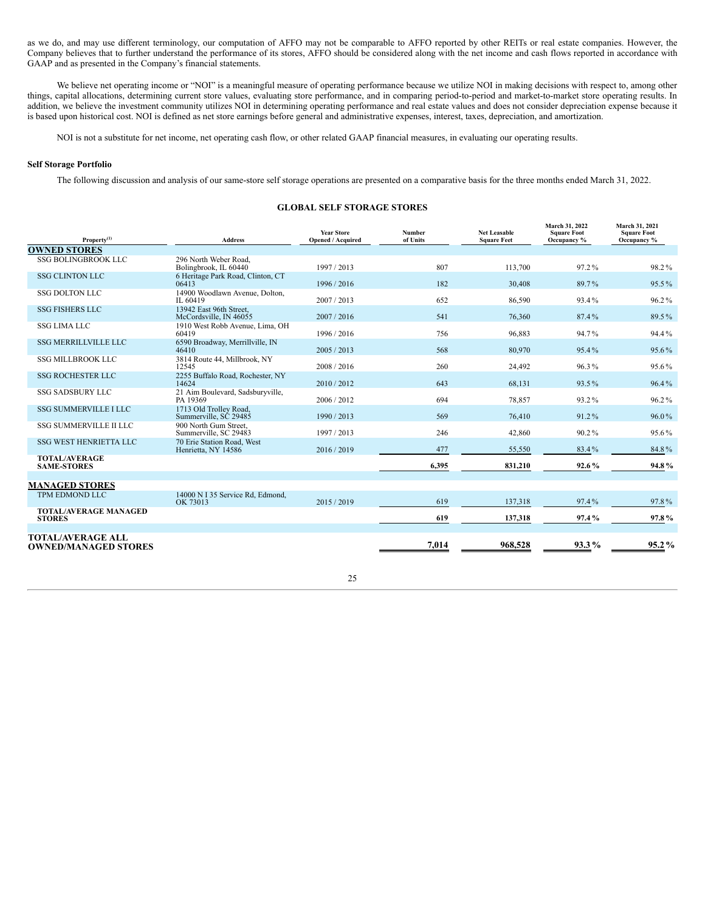as we do, and may use different terminology, our computation of AFFO may not be comparable to AFFO reported by other REITs or real estate companies. However, the Company believes that to further understand the performance of its stores, AFFO should be considered along with the net income and cash flows reported in accordance with GAAP and as presented in the Company's financial statements.

We believe net operating income or "NOI" is a meaningful measure of operating performance because we utilize NOI in making decisions with respect to, among other things, capital allocations, determining current store values, evaluating store performance, and in comparing period-to-period and market-to-market store operating results. In addition, we believe the investment community utilizes NOI in determining operating performance and real estate values and does not consider depreciation expense because it is based upon historical cost. NOI is defined as net store earnings before general and administrative expenses, interest, taxes, depreciation, and amortization.

NOI is not a substitute for net income, net operating cash flow, or other related GAAP financial measures, in evaluating our operating results.

# **Self Storage Portfolio**

The following discussion and analysis of our same-store self storage operations are presented on a comparative basis for the three months ended March 31, 2022.

# **GLOBAL SELF STORAGE STORES**

| Property <sup>(1)</sup>                       | <b>Address</b>                                    | <b>Year Store</b><br>Opened / Acquired | Number<br>of Units | <b>Net Leasable</b><br><b>Square Feet</b> | March 31, 2022<br><b>Square Foot</b><br>Occupancy % | March 31, 2021<br><b>Square Foot</b><br>Occupancy % |
|-----------------------------------------------|---------------------------------------------------|----------------------------------------|--------------------|-------------------------------------------|-----------------------------------------------------|-----------------------------------------------------|
| <b>OWNED STORES</b>                           |                                                   |                                        |                    |                                           |                                                     |                                                     |
| <b>SSG BOLINGBROOK LLC</b>                    | 296 North Weber Road.<br>Bolingbrook, IL 60440    | 1997/2013                              | 807                | 113,700                                   | 97.2%                                               | 98.2%                                               |
| <b>SSG CLINTON LLC</b>                        | 6 Heritage Park Road, Clinton, CT<br>06413        | 1996/2016                              | 182                | 30,408                                    | 89.7%                                               | 95.5%                                               |
| <b>SSG DOLTON LLC</b>                         | 14900 Woodlawn Avenue, Dolton,<br>IL 60419        | 2007/2013                              | 652                | 86,590                                    | 93.4%                                               | 96.2%                                               |
| <b>SSG FISHERS LLC</b>                        | 13942 East 96th Street,<br>McCordsville, IN 46055 | 2007/2016                              | 541                | 76,360                                    | 87.4%                                               | 89.5%                                               |
| <b>SSG LIMA LLC</b>                           | 1910 West Robb Avenue, Lima, OH<br>60419          | 1996/2016                              | 756                | 96,883                                    | 94.7%                                               | 94.4%                                               |
| <b>SSG MERRILLVILLE LLC</b>                   | 6590 Broadway, Merrillville, IN<br>46410          | 2005/2013                              | 568                | 80.970                                    | 95.4%                                               | 95.6%                                               |
| <b>SSG MILLBROOK LLC</b>                      | 3814 Route 44, Millbrook, NY<br>12545             | 2008/2016                              | 260                | 24,492                                    | 96.3%                                               | 95.6%                                               |
| <b>SSG ROCHESTER LLC</b>                      | 2255 Buffalo Road, Rochester, NY<br>14624         | 2010/2012                              | 643                | 68,131                                    | 93.5%                                               | 96.4%                                               |
| <b>SSG SADSBURY LLC</b>                       | 21 Aim Boulevard, Sadsburyville,<br>PA 19369      | 2006/2012                              | 694                | 78,857                                    | 93.2%                                               | 96.2%                                               |
| <b>SSG SUMMERVILLE I LLC</b>                  | 1713 Old Trolley Road.<br>Summerville, SC 29485   | 1990 / 2013                            | 569                | 76,410                                    | 91.2%                                               | 96.0%                                               |
| <b>SSG SUMMERVILLE II LLC</b>                 | 900 North Gum Street.<br>Summerville, SC 29483    | 1997/2013                              | 246                | 42,860                                    | 90.2%                                               | 95.6%                                               |
| <b>SSG WEST HENRIETTA LLC</b>                 | 70 Erie Station Road, West<br>Henrietta, NY 14586 | 2016/2019                              | 477                | 55,550                                    | 83.4%                                               | 84.8%                                               |
| <b>TOTAL/AVERAGE</b><br><b>SAME-STORES</b>    |                                                   |                                        | 6,395              | 831,210                                   | 92.6%                                               | 94.8%                                               |
| <b>MANAGED STORES</b>                         |                                                   |                                        |                    |                                           |                                                     |                                                     |
| TPM EDMOND LLC                                | 14000 N I 35 Service Rd, Edmond,<br>OK 73013      | 2015/2019                              | 619                | 137,318                                   | 97.4%                                               | 97.8%                                               |
| <b>TOTAL/AVERAGE MANAGED</b><br><b>STORES</b> |                                                   |                                        | 619                | 137,318                                   | 97.4%                                               | 97.8%                                               |
| <b>TOTAL/AVERAGE ALL</b>                      |                                                   |                                        | 7,014              | 968,528                                   | $93.3\%$                                            | $95.2\%$                                            |
| <b>OWNED/MANAGED STORES</b>                   |                                                   |                                        |                    |                                           |                                                     |                                                     |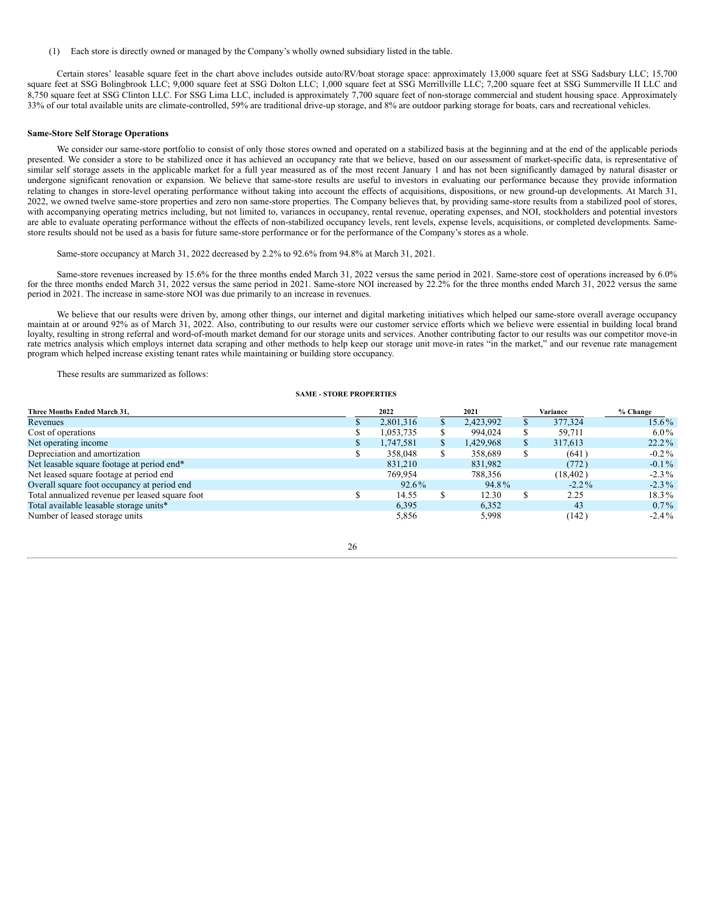(1) Each store is directly owned or managed by the Company's wholly owned subsidiary listed in the table.

Certain stores' leasable square feet in the chart above includes outside auto/RV/boat storage space: approximately 13,000 square feet at SSG Sadsbury LLC; 15,700 square feet at SSG Bolingbrook LLC; 9,000 square feet at SSG Dolton LLC; 1,000 square feet at SSG Merrillville LLC; 7,200 square feet at SSG Summerville II LLC and 8.750 square feet at SSG Clinton LLC. For SSG Lima LLC, included is approximately 7.700 square feet of non-storage commercial and student housing space. Approximately 33% of our total available units are climate-controlled, 59% are traditional drive-up storage, and 8% are outdoor parking storage for boats, cars and recreational vehicles.

### **Same-Store Self Storage Operations**

We consider our same-store portfolio to consist of only those stores owned and operated on a stabilized basis at the beginning and at the end of the applicable periods presented. We consider a store to be stabilized once it has achieved an occupancy rate that we believe, based on our assessment of market-specific data, is representative of similar self storage assets in the applicable market for a full year measured as of the most recent January 1 and has not been significantly damaged by natural disaster or undergone significant renovation or expansion. We believe that same-store results are useful to investors in evaluating our performance because they provide information relating to changes in store-level operating performance without taking into account the effects of acquisitions, dispositions, or new ground-up developments. At March 31, 2022, we owned twelve same-store properties and zero non same-store properties. The Company believes that, by providing same-store results from a stabilized pool of stores, with accompanying operating metrics including, but not limited to, variances in occupancy, rental revenue, operating expenses, and NOI, stockholders and potential investors are able to evaluate operating performance without the effects of non-stabilized occupancy levels, rent levels, expense levels, acquisitions, or completed developments. Samestore results should not be used as a basis for future same-store performance or for the performance of the Company's stores as a whole.

Same-store occupancy at March 31, 2022 decreased by 2.2% to 92.6% from 94.8% at March 31, 2021.

Same-store revenues increased by 15.6% for the three months ended March 31, 2022 versus the same period in 2021. Same-store cost of operations increased by 6.0% for the three months ended March 31, 2022 versus the same period in 2021. Same-store NOI increased by 22.2% for the three months ended March 31, 2022 versus the same period in 2021. The increase in same-store NOI was due primarily to an increase in revenues.

We believe that our results were driven by, among other things, our internet and digital marketing initiatives which helped our same-store overall average occupancy maintain at or around 92% as of March 31, 2022. Also, contributing to our results were our customer service efforts which we believe were essential in building local brand loyalty, resulting in strong referral and word-of-mouth market demand for our storage units and services. Another contributing factor to our results was our competitor move-in rate metrics analysis which employs internet data scraping and other methods to help keep our storage unit move-in rates "in the market," and our revenue rate management program which helped increase existing tenant rates while maintaining or building store occupancy.

These results are summarized as follows:

### **SAME - STORE PROPERTIES**

| Three Months Ended March 31,                    | 2022      |          | 2021      |              | Variance  | % Change |
|-------------------------------------------------|-----------|----------|-----------|--------------|-----------|----------|
| Revenues                                        | 2,801,316 | $\Delta$ | 2,423,992 | $\mathbf{D}$ | 377,324   | $15.6\%$ |
| Cost of operations                              | 1,053,735 |          | 994.024   |              | 59,711    | $6.0\%$  |
| Net operating income                            | 1,747,581 | \$       | 1,429,968 | S.           | 317,613   | $22.2\%$ |
| Depreciation and amortization                   | 358,048   |          | 358,689   |              | (641)     | $-0.2\%$ |
| Net leasable square footage at period end*      | 831,210   |          | 831,982   |              | (772)     | $-0.1\%$ |
| Net leased square footage at period end         | 769.954   |          | 788,356   |              | (18, 402) | $-2.3\%$ |
| Overall square foot occupancy at period end     | 92.6%     |          | 94.8%     |              | $-2.2\%$  | $-2.3\%$ |
| Total annualized revenue per leased square foot | 14.55     |          | 12.30     |              | 2.25      | $18.3\%$ |
| Total available leasable storage units*         | 6,395     |          | 6,352     |              | 43        | $0.7\%$  |
| Number of leased storage units                  | 5,856     |          | 5,998     |              | (142)     | $-2.4\%$ |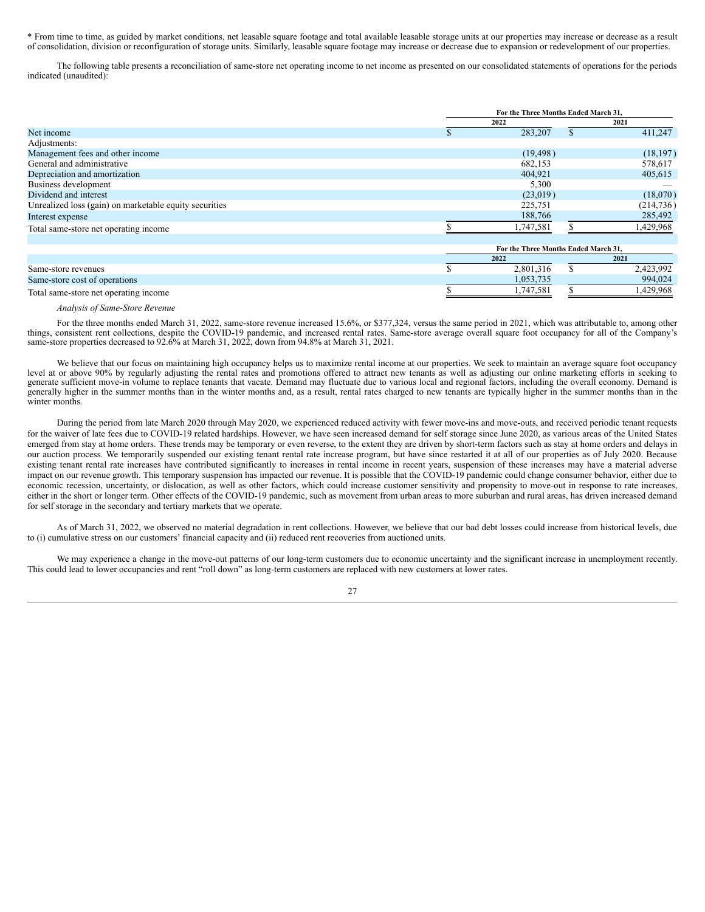\* From time to time, as guided by market conditions, net leasable square footage and total available leasable storage units at our properties may increase or decrease as a result of consolidation, division or reconfiguration of storage units. Similarly, leasable square footage may increase or decrease due to expansion or redevelopment of our properties.

The following table presents a reconciliation of same-store net operating income to net income as presented on our consolidated statements of operations for the periods indicated (unaudited):

|                                                        |              | For the Three Months Ended March 31. |            |  |  |
|--------------------------------------------------------|--------------|--------------------------------------|------------|--|--|
|                                                        | 2022         |                                      | 2021       |  |  |
| Net income                                             | 283,207<br>S | \$                                   | 411,247    |  |  |
| Adjustments:                                           |              |                                      |            |  |  |
| Management fees and other income                       | (19, 498)    |                                      | (18, 197)  |  |  |
| General and administrative                             | 682,153      |                                      | 578,617    |  |  |
| Depreciation and amortization                          | 404,921      |                                      | 405,615    |  |  |
| Business development                                   | 5,300        |                                      |            |  |  |
| Dividend and interest                                  | (23,019)     |                                      | (18,070)   |  |  |
| Unrealized loss (gain) on marketable equity securities | 225,751      |                                      | (214, 736) |  |  |
| Interest expense                                       | 188,766      |                                      | 285,492    |  |  |
| Total same-store net operating income                  | 1,747,581    |                                      | ,429,968   |  |  |
|                                                        |              | For the Three Months Ended March 31. |            |  |  |
|                                                        | 2022         |                                      | 2021       |  |  |
| Same-store revenues                                    | 2,801,316    | \$                                   | 2,423,992  |  |  |
| Same-store cost of operations                          | 1,053,735    |                                      | 994,024    |  |  |
| Total same-store net operating income                  | 1,747,581    |                                      | 429,968    |  |  |

#### *Analysis of Same-Store Revenue*

For the three months ended March 31, 2022, same-store revenue increased 15.6%, or \$377,324, versus the same period in 2021, which was attributable to, among other things, consistent rent collections, despite the COVID-19 pandemic, and increased rental rates. Same-store average overall square foot occupancy for all of the Company's same-store properties decreased to 92.6% at March 31, 2022, down from 94.8% at March 31, 2021.

We believe that our focus on maintaining high occupancy helps us to maximize rental income at our properties. We seek to maintain an average square foot occupancy level at or above 90% by regularly adjusting the rental rates and promotions offered to attract new tenants as well as adjusting our online marketing efforts in seeking to generate sufficient move-in volume to replace tenants that vacate. Demand may fluctuate due to various local and regional factors, including the overall economy. Demand is generally higher in the summer months than in the winter months and, as a result, rental rates charged to new tenants are typically higher in the summer months than in the winter months.

During the period from late March 2020 through May 2020, we experienced reduced activity with fewer move-ins and move-outs, and received periodic tenant requests for the waiver of late fees due to COVID-19 related hardships. However, we have seen increased demand for self storage since June 2020, as various areas of the United States emerged from stay at home orders. These trends may be temporary or even reverse, to the extent they are driven by short-term factors such as stay at home orders and delays in our auction process. We temporarily suspended our existing tenant rental rate increase program, but have since restarted it at all of our properties as of July 2020. Because existing tenant rental rate increases have contributed significantly to increases in rental income in recent years, suspension of these increases may have a material adverse impact on our revenue growth. This temporary suspension has impacted our revenue. It is possible that the COVID-19 pandemic could change consumer behavior, either due to economic recession, uncertainty, or dislocation, as well as other factors, which could increase customer sensitivity and propensity to move-out in response to rate increases, either in the short or longer term. Other effects of the COVID-19 pandemic, such as movement from urban areas to more suburban and rural areas, has driven increased demand for self storage in the secondary and tertiary markets that we operate.

As of March 31, 2022, we observed no material degradation in rent collections. However, we believe that our bad debt losses could increase from historical levels, due to (i) cumulative stress on our customers' financial capacity and (ii) reduced rent recoveries from auctioned units.

We may experience a change in the move-out patterns of our long-term customers due to economic uncertainty and the significant increase in unemployment recently. This could lead to lower occupancies and rent "roll down" as long-term customers are replaced with new customers at lower rates.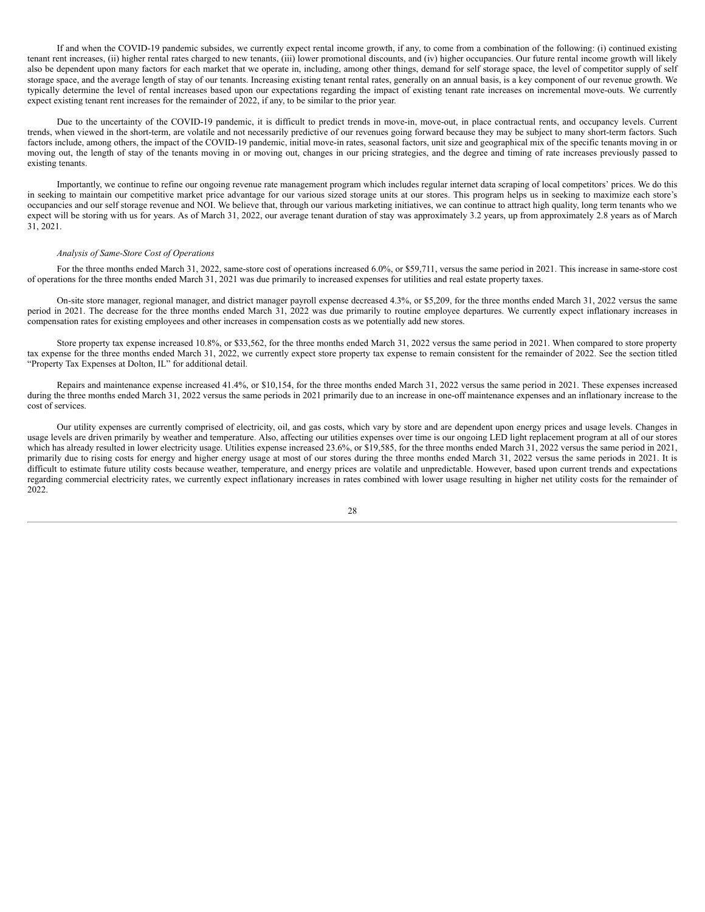If and when the COVID-19 pandemic subsides, we currently expect rental income growth, if any, to come from a combination of the following: (i) continued existing tenant rent increases, (ii) higher rental rates charged to new tenants, (iii) lower promotional discounts, and (iv) higher occupancies. Our future rental income growth will likely also be dependent upon many factors for each market that we operate in, including, among other things, demand for self storage space, the level of competitor supply of self storage space, and the average length of stay of our tenants. Increasing existing tenant rental rates, generally on an annual basis, is a key component of our revenue growth. We typically determine the level of rental increases based upon our expectations regarding the impact of existing tenant rate increases on incremental move-outs. We currently expect existing tenant rent increases for the remainder of 2022, if any, to be similar to the prior year.

Due to the uncertainty of the COVID-19 pandemic, it is difficult to predict trends in move-in, move-out, in place contractual rents, and occupancy levels. Current trends, when viewed in the short-term, are volatile and not necessarily predictive of our revenues going forward because they may be subject to many short-term factors. Such factors include, among others, the impact of the COVID-19 pandemic, initial move-in rates, seasonal factors, unit size and geographical mix of the specific tenants moving in or moving out, the length of stay of the tenants moving in or moving out, changes in our pricing strategies, and the degree and timing of rate increases previously passed to existing tenants.

Importantly, we continue to refine our ongoing revenue rate management program which includes regular internet data scraping of local competitors' prices. We do this in seeking to maintain our competitive market price advantage for our various sized storage units at our stores. This program helps us in seeking to maximize each store's occupancies and our self storage revenue and NOI. We believe that, through our various marketing initiatives, we can continue to attract high quality, long term tenants who we expect will be storing with us for years. As of March 31, 2022, our average tenant duration of stay was approximately 3.2 years, up from approximately 2.8 years as of March 31, 2021.

# *Analysis of Same-Store Cost of Operations*

For the three months ended March 31, 2022, same-store cost of operations increased 6.0%, or \$59,711, versus the same period in 2021. This increase in same-store cost of operations for the three months ended March 31, 2021 was due primarily to increased expenses for utilities and real estate property taxes.

On-site store manager, regional manager, and district manager payroll expense decreased 4.3%, or \$5,209, for the three months ended March 31, 2022 versus the same period in 2021. The decrease for the three months ended March 31, 2022 was due primarily to routine employee departures. We currently expect inflationary increases in compensation rates for existing employees and other increases in compensation costs as we potentially add new stores.

Store property tax expense increased 10.8%, or \$33,562, for the three months ended March 31, 2022 versus the same period in 2021. When compared to store property tax expense for the three months ended March 31, 2022, we currently expect store property tax expense to remain consistent for the remainder of 2022. See the section titled "Property Tax Expenses at Dolton, IL" for additional detail.

Repairs and maintenance expense increased 41.4%, or \$10,154, for the three months ended March 31, 2022 versus the same period in 2021. These expenses increased during the three months ended March 31, 2022 versus the same periods in 2021 primarily due to an increase in one-off maintenance expenses and an inflationary increase to the cost of services.

Our utility expenses are currently comprised of electricity, oil, and gas costs, which vary by store and are dependent upon energy prices and usage levels. Changes in usage levels are driven primarily by weather and temperature. Also, affecting our utilities expenses over time is our ongoing LED light replacement program at all of our stores which has already resulted in lower electricity usage. Utilities expense increased 23.6%, or \$19,585, for the three months ended March 31, 2022 versus the same period in 2021, primarily due to rising costs for energy and higher energy usage at most of our stores during the three months ended March 31, 2022 versus the same periods in 2021. It is difficult to estimate future utility costs because weather, temperature, and energy prices are volatile and unpredictable. However, based upon current trends and expectations regarding commercial electricity rates, we currently expect inflationary increases in rates combined with lower usage resulting in higher net utility costs for the remainder of 2022.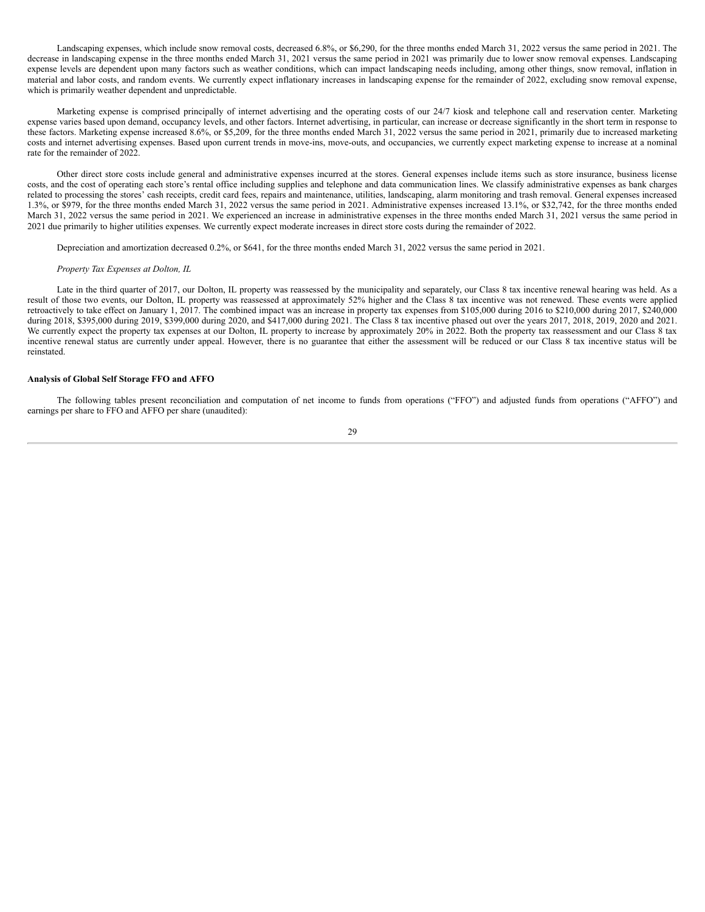Landscaping expenses, which include snow removal costs, decreased 6.8%, or \$6,290, for the three months ended March 31, 2022 versus the same period in 2021. The decrease in landscaping expense in the three months ended March 31, 2021 versus the same period in 2021 was primarily due to lower snow removal expenses. Landscaping expense levels are dependent upon many factors such as weather conditions, which can impact landscaping needs including, among other things, snow removal, inflation in material and labor costs, and random events. We currently expect inflationary increases in landscaping expense for the remainder of 2022, excluding snow removal expense, which is primarily weather dependent and unpredictable.

Marketing expense is comprised principally of internet advertising and the operating costs of our 24/7 kiosk and telephone call and reservation center. Marketing expense varies based upon demand, occupancy levels, and other factors. Internet advertising, in particular, can increase or decrease significantly in the short term in response to these factors. Marketing expense increased 8.6%, or \$5,209, for the three months ended March 31, 2022 versus the same period in 2021, primarily due to increased marketing costs and internet advertising expenses. Based upon current trends in move-ins, move-outs, and occupancies, we currently expect marketing expense to increase at a nominal rate for the remainder of 2022.

Other direct store costs include general and administrative expenses incurred at the stores. General expenses include items such as store insurance, business license costs, and the cost of operating each store's rental office including supplies and telephone and data communication lines. We classify administrative expenses as bank charges related to processing the stores' cash receipts, credit card fees, repairs and maintenance, utilities, landscaping, alarm monitoring and trash removal. General expenses increased 1.3%, or \$979, for the three months ended March 31, 2022 versus the same period in 2021. Administrative expenses increased 13.1%, or \$32,742, for the three months ended March 31, 2022 versus the same period in 2021. We experienced an increase in administrative expenses in the three months ended March 31, 2021 versus the same period in 2021 due primarily to higher utilities expenses. We currently expect moderate increases in direct store costs during the remainder of 2022.

Depreciation and amortization decreased 0.2%, or \$641, for the three months ended March 31, 2022 versus the same period in 2021.

### *Property Tax Expenses at Dolton, IL*

Late in the third quarter of 2017, our Dolton, IL property was reassessed by the municipality and separately, our Class 8 tax incentive renewal hearing was held. As a result of those two events, our Dolton, IL property was reassessed at approximately 52% higher and the Class 8 tax incentive was not renewed. These events were applied retroactively to take effect on January 1, 2017. The combined impact was an increase in property tax expenses from \$105,000 during 2016 to \$210,000 during 2017, \$240,000 during 2018, \$395,000 during 2019, \$399,000 during 2020, and \$417,000 during 2021. The Class 8 tax incentive phased out over the years 2017, 2018, 2019, 2020 and 2021. We currently expect the property tax expenses at our Dolton, IL property to increase by approximately 20% in 2022. Both the property tax reassessment and our Class 8 tax incentive renewal status are currently under appeal. However, there is no guarantee that either the assessment will be reduced or our Class 8 tax incentive status will be reinstated.

# **Analysis of Global Self Storage FFO and AFFO**

The following tables present reconciliation and computation of net income to funds from operations ("FFO") and adjusted funds from operations ("AFFO") and earnings per share to FFO and AFFO per share (unaudited):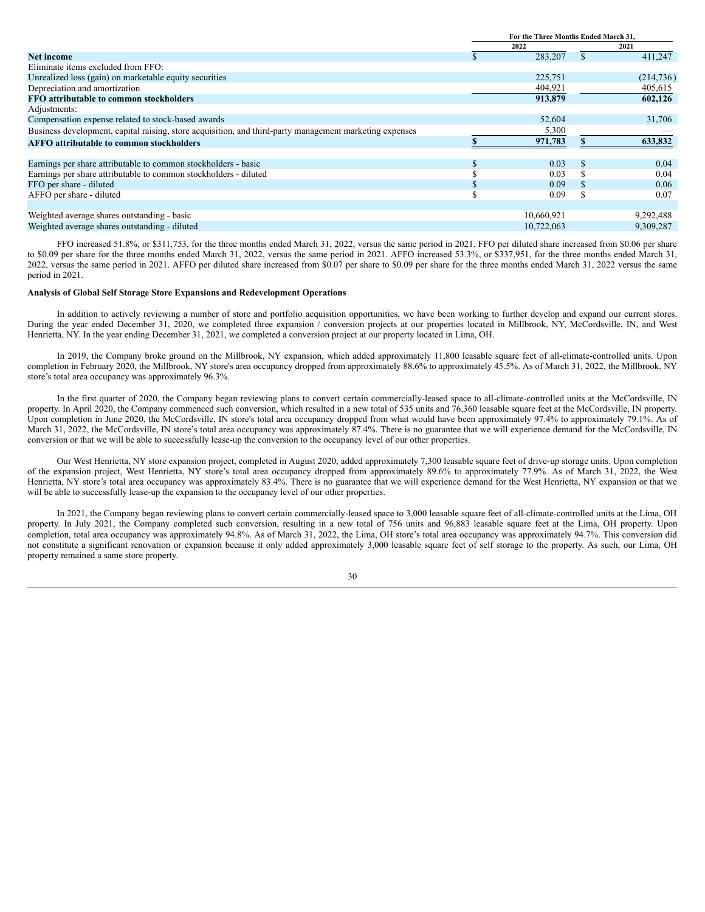|                                                                                                         | For the Three Months Ended March 31. |            |    |            |
|---------------------------------------------------------------------------------------------------------|--------------------------------------|------------|----|------------|
|                                                                                                         |                                      | 2022       |    | 2021       |
| <b>Net income</b>                                                                                       |                                      | 283,207    | \$ | 411,247    |
| Eliminate items excluded from FFO:                                                                      |                                      |            |    |            |
| Unrealized loss (gain) on marketable equity securities                                                  |                                      | 225,751    |    | (214, 736) |
| Depreciation and amortization                                                                           |                                      | 404,921    |    | 405,615    |
| FFO attributable to common stockholders                                                                 |                                      | 913,879    |    | 602,126    |
| Adjustments:                                                                                            |                                      |            |    |            |
| Compensation expense related to stock-based awards                                                      |                                      | 52,604     |    | 31,706     |
| Business development, capital raising, store acquisition, and third-party management marketing expenses |                                      | 5,300      |    |            |
| <b>AFFO</b> attributable to common stockholders                                                         |                                      | 971,783    |    | 633,832    |
| Earnings per share attributable to common stockholders - basic                                          |                                      | 0.03       | \$ | 0.04       |
| Earnings per share attributable to common stockholders - diluted                                        |                                      | 0.03       |    | 0.04       |
| FFO per share - diluted                                                                                 |                                      | 0.09       |    | 0.06       |
| AFFO per share - diluted                                                                                |                                      | 0.09       |    | 0.07       |
|                                                                                                         |                                      |            |    |            |
| Weighted average shares outstanding - basic                                                             |                                      | 10,660,921 |    | 9,292,488  |
| Weighted average shares outstanding - diluted                                                           |                                      | 10,722,063 |    | 9,309,287  |

FFO increased 51.8%, or \$311,753, for the three months ended March 31, 2022, versus the same period in 2021. FFO per diluted share increased from \$0.06 per share to \$0.09 per share for the three months ended March 31, 2022, versus the same period in 2021. AFFO increased 53.3%, or \$337,951, for the three months ended March 31, 2022, versus the same period in 2021. AFFO per diluted share increased from \$0.07 per share to \$0.09 per share for the three months ended March 31, 2022 versus the same period in 2021.

# **Analysis of Global Self Storage Store Expansions and Redevelopment Operations**

In addition to actively reviewing a number of store and portfolio acquisition opportunities, we have been working to further develop and expand our current stores. During the year ended December 31, 2020, we completed three expansion / conversion projects at our properties located in Millbrook, NY, McCordsville, IN, and West Henrietta, NY. In the year ending December 31, 2021, we completed a conversion project at our property located in Lima, OH.

In 2019, the Company broke ground on the Millbrook, NY expansion, which added approximately 11,800 leasable square feet of all-climate-controlled units. Upon completion in February 2020, the Millbrook, NY store's area occupancy dropped from approximately 88.6% to approximately 45.5%. As of March 31, 2022, the Millbrook, NY store's total area occupancy was approximately 96.3%.

In the first quarter of 2020, the Company began reviewing plans to convert certain commercially-leased space to all-climate-controlled units at the McCordsville, IN property. In April 2020, the Company commenced such conversion, which resulted in a new total of 535 units and 76,360 leasable square feet at the McCordsville, IN property. Upon completion in June 2020, the McCordsville, IN store's total area occupancy dropped from what would have been approximately 97.4% to approximately 79.1%. As of March 31, 2022, the McCordsville, IN store's total area occupancy was approximately 87.4%. There is no guarantee that we will experience demand for the McCordsville, IN conversion or that we will be able to successfully lease-up the conversion to the occupancy level of our other properties.

Our West Henrietta, NY store expansion project, completed in August 2020, added approximately 7,300 leasable square feet of drive-up storage units. Upon completion of the expansion project, West Henrietta, NY store's total area occupancy dropped from approximately 89.6% to approximately 77.9%. As of March 31, 2022, the West Henrietta, NY store's total area occupancy was approximately 83.4%. There is no guarantee that we will experience demand for the West Henrietta, NY expansion or that we will be able to successfully lease-up the expansion to the occupancy level of our other properties.

In 2021, the Company began reviewing plans to convert certain commercially-leased space to 3,000 leasable square feet of all-climate-controlled units at the Lima, OH property. In July 2021, the Company completed such conversion, resulting in a new total of 756 units and 96,883 leasable square feet at the Lima, OH property. Upon completion, total area occupancy was approximately 94.8%. As of March 31, 2022, the Lima, OH store's total area occupancy was approximately 94.7%. This conversion did not constitute a significant renovation or expansion because it only added approximately 3,000 leasable square feet of self storage to the property. As such, our Lima, OH property remained a same store property.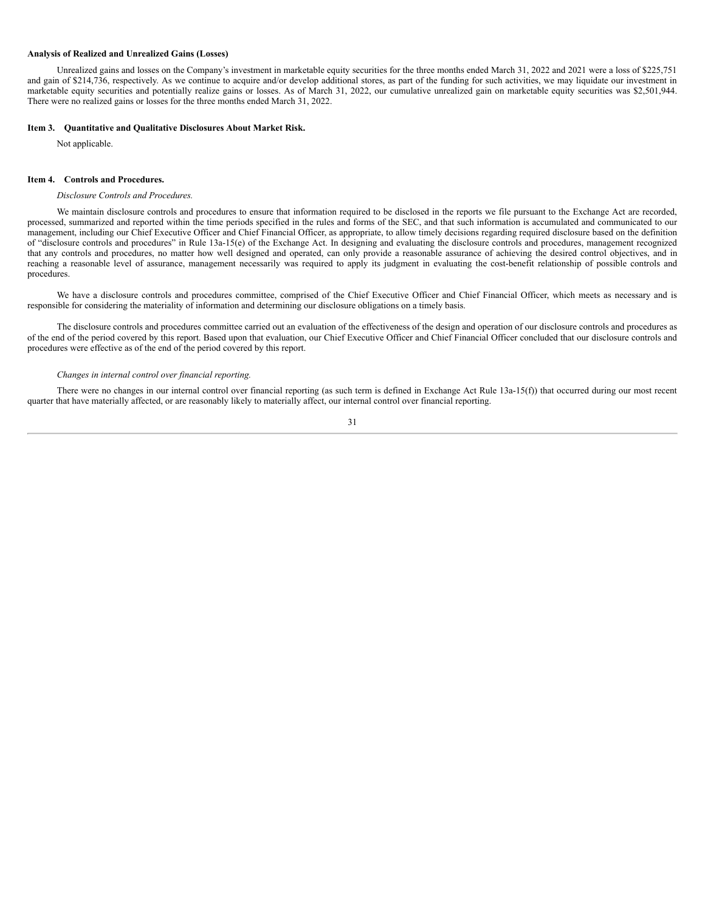#### **Analysis of Realized and Unrealized Gains (Losses)**

Unrealized gains and losses on the Company's investment in marketable equity securities for the three months ended March 31, 2022 and 2021 were a loss of \$225,751 and gain of \$214,736, respectively. As we continue to acquire and/or develop additional stores, as part of the funding for such activities, we may liquidate our investment in marketable equity securities and potentially realize gains or losses. As of March 31, 2022, our cumulative unrealized gain on marketable equity securities was \$2,501,944. There were no realized gains or losses for the three months ended March 31, 2022.

#### <span id="page-30-0"></span>**Item 3. Quantitative and Qualitative Disclosures About Market Risk.**

Not applicable.

#### <span id="page-30-1"></span>**Item 4. Controls and Procedures.**

# *Disclosure Controls and Procedures.*

We maintain disclosure controls and procedures to ensure that information required to be disclosed in the reports we file pursuant to the Exchange Act are recorded, processed, summarized and reported within the time periods specified in the rules and forms of the SEC, and that such information is accumulated and communicated to our management, including our Chief Executive Officer and Chief Financial Officer, as appropriate, to allow timely decisions regarding required disclosure based on the definition of "disclosure controls and procedures" in Rule 13a-15(e) of the Exchange Act. In designing and evaluating the disclosure controls and procedures, management recognized that any controls and procedures, no matter how well designed and operated, can only provide a reasonable assurance of achieving the desired control objectives, and in reaching a reasonable level of assurance, management necessarily was required to apply its judgment in evaluating the cost-benefit relationship of possible controls and procedures.

We have a disclosure controls and procedures committee, comprised of the Chief Executive Officer and Chief Financial Officer, which meets as necessary and is responsible for considering the materiality of information and determining our disclosure obligations on a timely basis.

The disclosure controls and procedures committee carried out an evaluation of the effectiveness of the design and operation of our disclosure controls and procedures as of the end of the period covered by this report. Based upon that evaluation, our Chief Executive Officer and Chief Financial Officer concluded that our disclosure controls and procedures were effective as of the end of the period covered by this report.

# *Changes in internal control over financial reporting.*

There were no changes in our internal control over financial reporting (as such term is defined in Exchange Act Rule 13a-15(f)) that occurred during our most recent quarter that have materially affected, or are reasonably likely to materially affect, our internal control over financial reporting.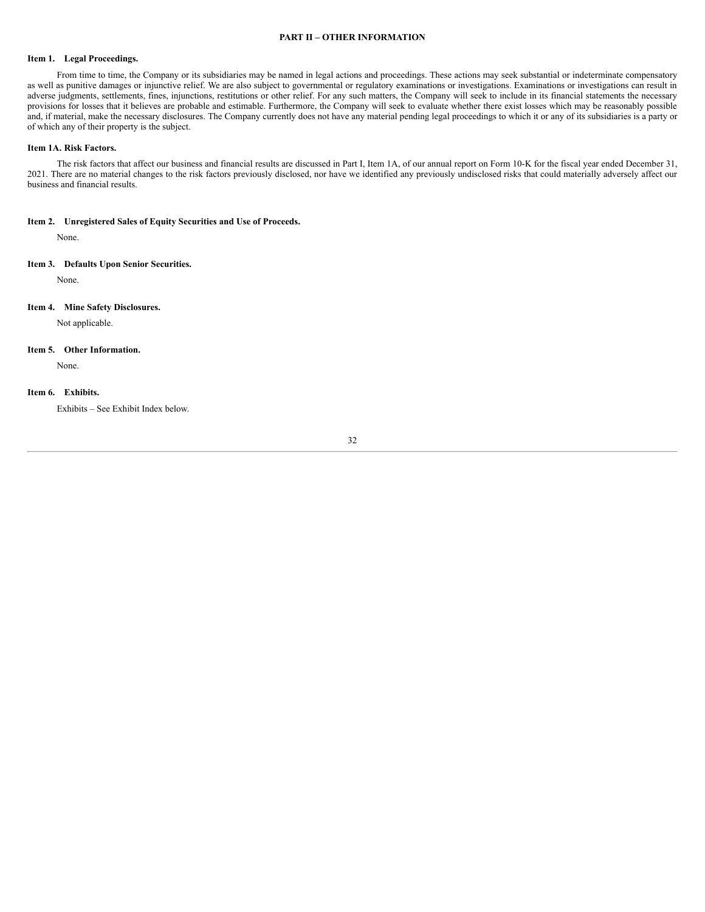# **PART II – OTHER INFORMATION**

# <span id="page-31-1"></span><span id="page-31-0"></span>**Item 1. Legal Proceedings.**

From time to time, the Company or its subsidiaries may be named in legal actions and proceedings. These actions may seek substantial or indeterminate compensatory as well as punitive damages or injunctive relief. We are also subject to governmental or regulatory examinations or investigations. Examinations or investigations can result in adverse judgments, settlements, fines, injunctions, restitutions or other relief. For any such matters, the Company will seek to include in its financial statements the necessary provisions for losses that it believes are probable and estimable. Furthermore, the Company will seek to evaluate whether there exist losses which may be reasonably possible and, if material, make the necessary disclosures. The Company currently does not have any material pending legal proceedings to which it or any of its subsidiaries is a party or of which any of their property is the subject.

#### <span id="page-31-2"></span>**Item 1A. Risk Factors.**

The risk factors that affect our business and financial results are discussed in Part I, Item 1A, of our annual report on Form 10-K for the fiscal year ended December 31, 2021. There are no material changes to the risk factors previously disclosed, nor have we identified any previously undisclosed risks that could materially adversely affect our business and financial results.

# <span id="page-31-3"></span>**Item 2. Unregistered Sales of Equity Securities and Use of Proceeds.**

None.

# <span id="page-31-4"></span>**Item 3. Defaults Upon Senior Securities.**

None.

#### <span id="page-31-5"></span>**Item 4. Mine Safety Disclosures.**

Not applicable.

### <span id="page-31-6"></span>**Item 5. Other Information.**

None.

# <span id="page-31-7"></span>**Item 6. Exhibits.**

Exhibits – See Exhibit Index below.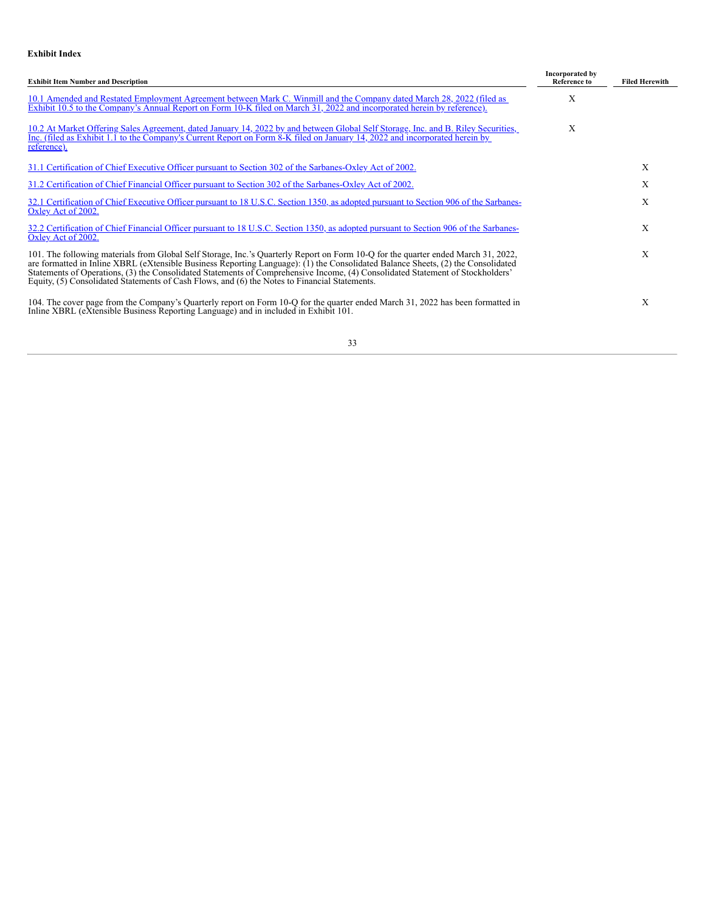# <span id="page-32-0"></span>**Exhibit Index**

| <b>Exhibit Item Number and Description</b>                                                                                                                                                                                                                                                                                                                                                                                                                                                               | <b>Incorporated by</b><br><b>Reference to</b> | <b>Filed Herewith</b> |
|----------------------------------------------------------------------------------------------------------------------------------------------------------------------------------------------------------------------------------------------------------------------------------------------------------------------------------------------------------------------------------------------------------------------------------------------------------------------------------------------------------|-----------------------------------------------|-----------------------|
| 10.1 Amended and Restated Employment Agreement between Mark C. Winmill and the Company dated March 28, 2022 (filed as<br>Exhibit 10.5 to the Company's Annual Report on Form 10-K filed on March 31, 2022 and incorporated herein by reference).                                                                                                                                                                                                                                                         | Χ                                             |                       |
| 10.2 At Market Offering Sales Agreement, dated January 14, 2022 by and between Global Self Storage, Inc. and B. Riley Securities,<br>Inc. (filed as Exhibit 1.1 to the Company's Current Report on Form 8-K filed on January 14, 2022 and incorporated herein by<br>reference).                                                                                                                                                                                                                          | X                                             |                       |
| 31.1 Certification of Chief Executive Officer pursuant to Section 302 of the Sarbanes-Oxley Act of 2002.                                                                                                                                                                                                                                                                                                                                                                                                 |                                               | Х                     |
| 31.2 Certification of Chief Financial Officer pursuant to Section 302 of the Sarbanes-Oxley Act of 2002.                                                                                                                                                                                                                                                                                                                                                                                                 |                                               | Х                     |
| 32.1 Certification of Chief Executive Officer pursuant to 18 U.S.C. Section 1350, as adopted pursuant to Section 906 of the Sarbanes-<br>Oxley Act of 2002.                                                                                                                                                                                                                                                                                                                                              |                                               | Х                     |
| 32.2 Certification of Chief Financial Officer pursuant to 18 U.S.C. Section 1350, as adopted pursuant to Section 906 of the Sarbanes-<br>Oxley Act of 2002.                                                                                                                                                                                                                                                                                                                                              |                                               | Х                     |
| 101. The following materials from Global Self Storage, Inc.'s Quarterly Report on Form 10-Q for the quarter ended March 31, 2022,<br>are formatted in Inline XBRL (eXtensible Business Reporting Language): (1) the Consolidated Balance Sheets, (2) the Consolidated<br>Statements of Operations, (3) the Consolidated Statements of Comprehensive Income, (4) Consolidated Statement of Stockholders'<br>Equity, (5) Consolidated Statements of Cash Flows, and (6) the Notes to Financial Statements. |                                               | X                     |
| 104. The cover page from the Company's Quarterly report on Form 10-Q for the quarter ended March 31, 2022 has been formatted in<br>Inline XBRL (eXtensible Business Reporting Language) and in included in Exhibit 101.                                                                                                                                                                                                                                                                                  |                                               | X                     |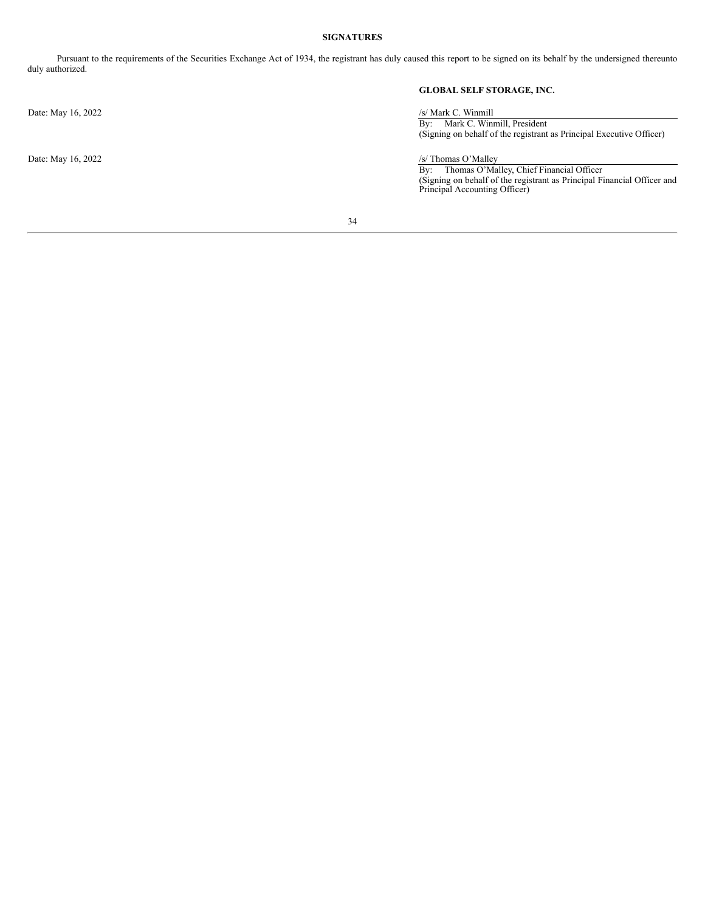# **SIGNATURES**

<span id="page-33-0"></span>Pursuant to the requirements of the Securities Exchange Act of 1934, the registrant has duly caused this report to be signed on its behalf by the undersigned thereunto duly authorized.

Date: May 16, 2022 /s/ Thomas O'Malley

# **GLOBAL SELF STORAGE, INC.**

# Date: May 16, 2022 /s/ Mark C. Winmill

By: Mark C. Winmill, President (Signing on behalf of the registrant as Principal Executive Officer)

By: Thomas O'Malley, Chief Financial Officer (Signing on behalf of the registrant as Principal Financial Officer and Principal Accounting Officer)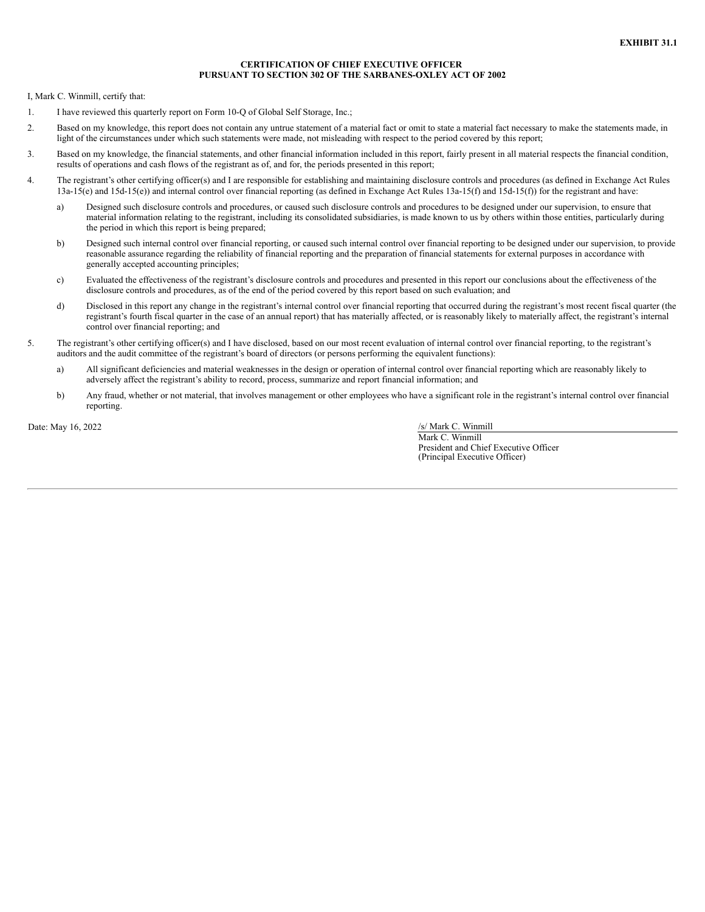# **CERTIFICATION OF CHIEF EXECUTIVE OFFICER PURSUANT TO SECTION 302 OF THE SARBANES-OXLEY ACT OF 2002**

I, Mark C. Winmill, certify that:

- 1. I have reviewed this quarterly report on Form 10-Q of Global Self Storage, Inc.;
- 2. Based on my knowledge, this report does not contain any untrue statement of a material fact or omit to state a material fact necessary to make the statements made, in light of the circumstances under which such statements were made, not misleading with respect to the period covered by this report;
- 3. Based on my knowledge, the financial statements, and other financial information included in this report, fairly present in all material respects the financial condition, results of operations and cash flows of the registrant as of, and for, the periods presented in this report;
- 4. The registrant's other certifying officer(s) and I are responsible for establishing and maintaining disclosure controls and procedures (as defined in Exchange Act Rules 13a-15(e) and 15d-15(e)) and internal control over financial reporting (as defined in Exchange Act Rules 13a-15(f) and 15d-15(f)) for the registrant and have:
	- a) Designed such disclosure controls and procedures, or caused such disclosure controls and procedures to be designed under our supervision, to ensure that material information relating to the registrant, including its consolidated subsidiaries, is made known to us by others within those entities, particularly during the period in which this report is being prepared;
	- b) Designed such internal control over financial reporting, or caused such internal control over financial reporting to be designed under our supervision, to provide reasonable assurance regarding the reliability of financial reporting and the preparation of financial statements for external purposes in accordance with generally accepted accounting principles;
	- c) Evaluated the effectiveness of the registrant's disclosure controls and procedures and presented in this report our conclusions about the effectiveness of the disclosure controls and procedures, as of the end of the period covered by this report based on such evaluation; and
	- d) Disclosed in this report any change in the registrant's internal control over financial reporting that occurred during the registrant's most recent fiscal quarter (the registrant's fourth fiscal quarter in the case of an annual report) that has materially affected, or is reasonably likely to materially affect, the registrant's internal control over financial reporting; and
- 5. The registrant's other certifying officer(s) and I have disclosed, based on our most recent evaluation of internal control over financial reporting, to the registrant's auditors and the audit committee of the registrant's board of directors (or persons performing the equivalent functions):
	- a) All significant deficiencies and material weaknesses in the design or operation of internal control over financial reporting which are reasonably likely to adversely affect the registrant's ability to record, process, summarize and report financial information; and
	- b) Any fraud, whether or not material, that involves management or other employees who have a significant role in the registrant's internal control over financial reporting.

Date: May 16, 2022 /s/ Mark C. Winmill Mark C. Winmill President and Chief Executive Officer (Principal Executive Officer)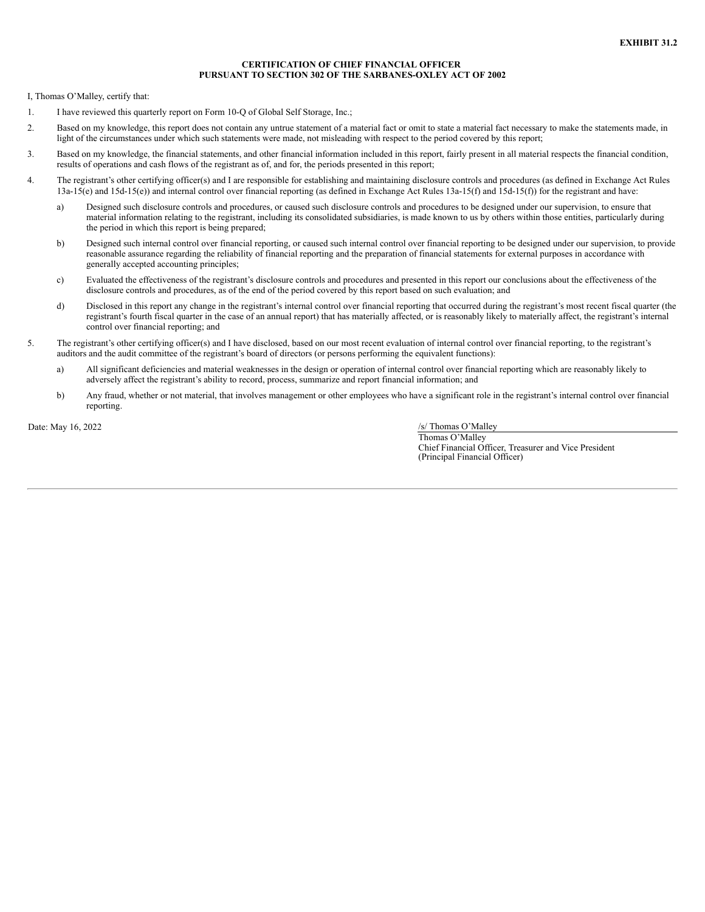# **CERTIFICATION OF CHIEF FINANCIAL OFFICER PURSUANT TO SECTION 302 OF THE SARBANES-OXLEY ACT OF 2002**

I, Thomas O'Malley, certify that:

- 1. I have reviewed this quarterly report on Form 10-Q of Global Self Storage, Inc.;
- 2. Based on my knowledge, this report does not contain any untrue statement of a material fact or omit to state a material fact necessary to make the statements made, in light of the circumstances under which such statements were made, not misleading with respect to the period covered by this report;
- 3. Based on my knowledge, the financial statements, and other financial information included in this report, fairly present in all material respects the financial condition, results of operations and cash flows of the registrant as of, and for, the periods presented in this report;
- 4. The registrant's other certifying officer(s) and I are responsible for establishing and maintaining disclosure controls and procedures (as defined in Exchange Act Rules 13a-15(e) and 15d-15(e)) and internal control over financial reporting (as defined in Exchange Act Rules 13a-15(f) and 15d-15(f)) for the registrant and have:
	- a) Designed such disclosure controls and procedures, or caused such disclosure controls and procedures to be designed under our supervision, to ensure that material information relating to the registrant, including its consolidated subsidiaries, is made known to us by others within those entities, particularly during the period in which this report is being prepared;
	- b) Designed such internal control over financial reporting, or caused such internal control over financial reporting to be designed under our supervision, to provide reasonable assurance regarding the reliability of financial reporting and the preparation of financial statements for external purposes in accordance with generally accepted accounting principles;
	- c) Evaluated the effectiveness of the registrant's disclosure controls and procedures and presented in this report our conclusions about the effectiveness of the disclosure controls and procedures, as of the end of the period covered by this report based on such evaluation; and
	- d) Disclosed in this report any change in the registrant's internal control over financial reporting that occurred during the registrant's most recent fiscal quarter (the registrant's fourth fiscal quarter in the case of an annual report) that has materially affected, or is reasonably likely to materially affect, the registrant's internal control over financial reporting; and
- 5. The registrant's other certifying officer(s) and I have disclosed, based on our most recent evaluation of internal control over financial reporting, to the registrant's auditors and the audit committee of the registrant's board of directors (or persons performing the equivalent functions):
	- a) All significant deficiencies and material weaknesses in the design or operation of internal control over financial reporting which are reasonably likely to adversely affect the registrant's ability to record, process, summarize and report financial information; and
	- b) Any fraud, whether or not material, that involves management or other employees who have a significant role in the registrant's internal control over financial reporting.

Date: May 16, 2022 /s/ Thomas O'Malley

Thomas O'Malley Chief Financial Officer, Treasurer and Vice President (Principal Financial Officer)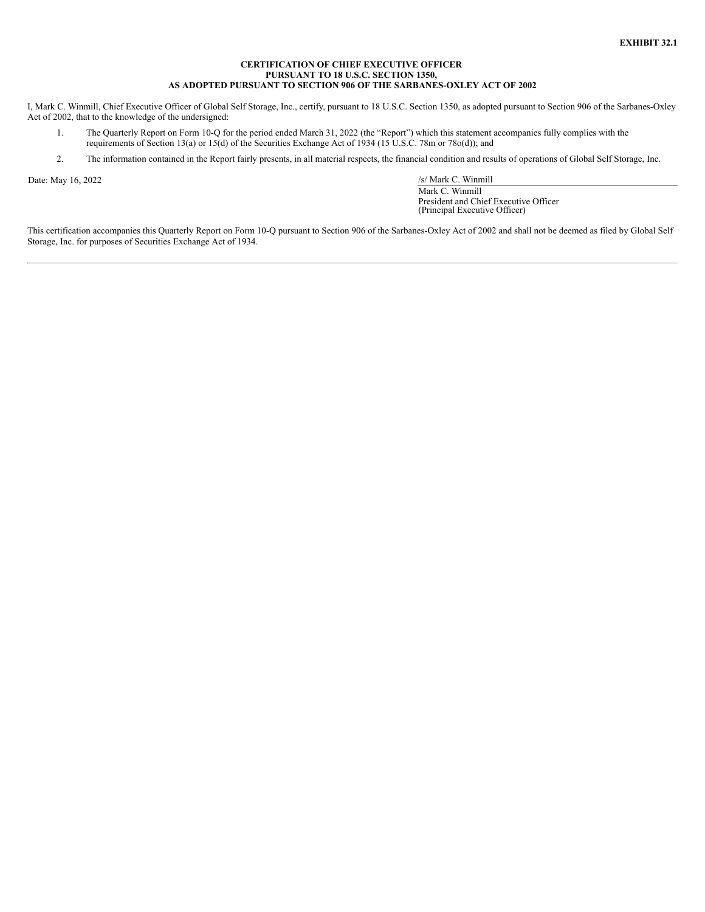### **CERTIFICATION OF CHIEF EXECUTIVE OFFICER PURSUANT TO 18 U.S.C. SECTION 1350, AS ADOPTED PURSUANT TO SECTION 906 OF THE SARBANES-OXLEY ACT OF 2002**

I, Mark C. Winmill, Chief Executive Officer of Global Self Storage, Inc., certify, pursuant to 18 U.S.C. Section 1350, as adopted pursuant to Section 906 of the Sarbanes-Oxley Act of 2002, that to the knowledge of the undersigned:

- 1. The Quarterly Report on Form 10-Q for the period ended March 31, 2022 (the "Report") which this statement accompanies fully complies with the requirements of Section 13(a) or 15(d) of the Securities Exchange Act of 1934 (15 U.S.C. 78m or 78o(d)); and
- 2. The information contained in the Report fairly presents, in all material respects, the financial condition and results of operations of Global Self Storage, Inc.

Date: May 16, 2022 /s/ Mark C. Winmill

Mark C. Winmill President and Chief Executive Officer (Principal Executive Officer)

This certification accompanies this Quarterly Report on Form 10-Q pursuant to Section 906 of the Sarbanes-Oxley Act of 2002 and shall not be deemed as filed by Global Self Storage, Inc. for purposes of Securities Exchange Act of 1934.